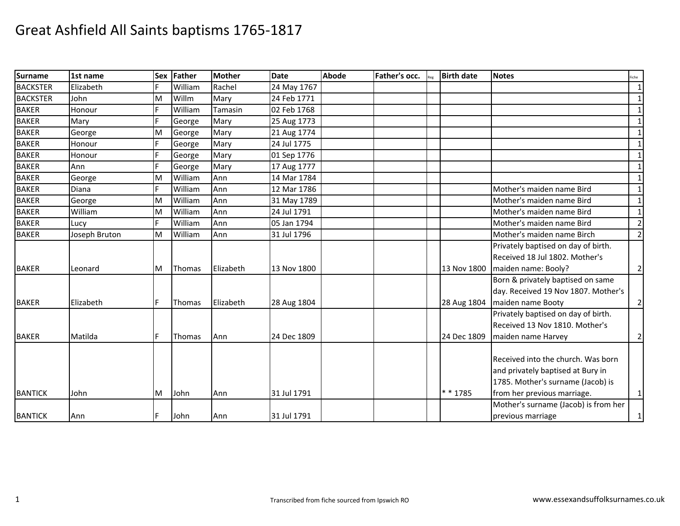| <b>Surname</b>  | 1st name      |    | Sex Father | Mother    | <b>Date</b> | <b>Abode</b> | Father's occ. | <b>Birth date</b> | <b>Notes</b>                         | Fiche          |
|-----------------|---------------|----|------------|-----------|-------------|--------------|---------------|-------------------|--------------------------------------|----------------|
| <b>BACKSTER</b> | Elizabeth     |    | William    | Rachel    | 24 May 1767 |              |               |                   |                                      | $\mathbf{1}$   |
| <b>BACKSTER</b> | John          | M  | Willm      | Marv      | 24 Feb 1771 |              |               |                   |                                      | $\mathbf{1}$   |
| <b>BAKER</b>    | Honour        | F  | William    | Tamasin   | 02 Feb 1768 |              |               |                   |                                      | $\mathbf{1}$   |
| <b>BAKER</b>    | Mary          |    | George     | Mary      | 25 Aug 1773 |              |               |                   |                                      | $\mathbf{1}$   |
| <b>BAKER</b>    | George        | M  | George     | Mary      | 21 Aug 1774 |              |               |                   |                                      | $\mathbf{1}$   |
| <b>BAKER</b>    | Honour        |    | George     | Mary      | 24 Jul 1775 |              |               |                   |                                      | $\mathbf{1}$   |
| <b>BAKER</b>    | Honour        |    | George     | Mary      | 01 Sep 1776 |              |               |                   |                                      | $\mathbf{1}$   |
| <b>BAKER</b>    | Ann           | F  | George     | Mary      | 17 Aug 1777 |              |               |                   |                                      | $\mathbf 1$    |
| <b>BAKER</b>    | George        | M  | William    | Ann       | 14 Mar 1784 |              |               |                   |                                      | $\mathbf{1}$   |
| <b>BAKER</b>    | <b>Diana</b>  | F. | William    | Ann       | 12 Mar 1786 |              |               |                   | Mother's maiden name Bird            | $\mathbf{1}$   |
| <b>BAKER</b>    | George        | M  | William    | Ann       | 31 May 1789 |              |               |                   | Mother's maiden name Bird            | $\mathbf{1}$   |
| <b>BAKER</b>    | William       | M  | William    | Ann       | 24 Jul 1791 |              |               |                   | Mother's maiden name Bird            | $\mathbf{1}$   |
| <b>BAKER</b>    | Lucy          | F. | William    | Ann       | 05 Jan 1794 |              |               |                   | Mother's maiden name Bird            | $\overline{2}$ |
| <b>BAKER</b>    | Joseph Bruton | M  | William    | Ann       | 31 Jul 1796 |              |               |                   | Mother's maiden name Birch           | $\overline{2}$ |
|                 |               |    |            |           |             |              |               |                   | Privately baptised on day of birth.  |                |
|                 |               |    |            |           |             |              |               |                   | Received 18 Jul 1802. Mother's       |                |
| <b>BAKER</b>    | Leonard       | M  | Thomas     | Elizabeth | 13 Nov 1800 |              |               | 13 Nov 1800       | maiden name: Booly?                  | $\overline{2}$ |
|                 |               |    |            |           |             |              |               |                   | Born & privately baptised on same    |                |
|                 |               |    |            |           |             |              |               |                   | day. Received 19 Nov 1807. Mother's  |                |
| <b>BAKER</b>    | Elizabeth     | F  | Thomas     | Elizabeth | 28 Aug 1804 |              |               | 28 Aug 1804       | maiden name Booty                    | $\mathbf{2}$   |
|                 |               |    |            |           |             |              |               |                   | Privately baptised on day of birth.  |                |
|                 |               |    |            |           |             |              |               |                   | Received 13 Nov 1810. Mother's       |                |
| <b>BAKER</b>    | Matilda       | F  | Thomas     | Ann       | 24 Dec 1809 |              |               | 24 Dec 1809       | maiden name Harvey                   | $\overline{2}$ |
|                 |               |    |            |           |             |              |               |                   |                                      |                |
|                 |               |    |            |           |             |              |               |                   | Received into the church. Was born   |                |
|                 |               |    |            |           |             |              |               |                   | and privately baptised at Bury in    |                |
|                 |               |    |            |           |             |              |               |                   | 1785. Mother's surname (Jacob) is    |                |
| <b>BANTICK</b>  | John          | ΙM | John       | Ann       | 31 Jul 1791 |              |               | * * 1785          | from her previous marriage.          | $\mathbf{1}$   |
|                 |               |    |            |           |             |              |               |                   | Mother's surname (Jacob) is from her |                |
| <b>BANTICK</b>  | Ann           | F. | John       | Ann       | 31 Jul 1791 |              |               |                   | previous marriage                    | $\mathbf{1}$   |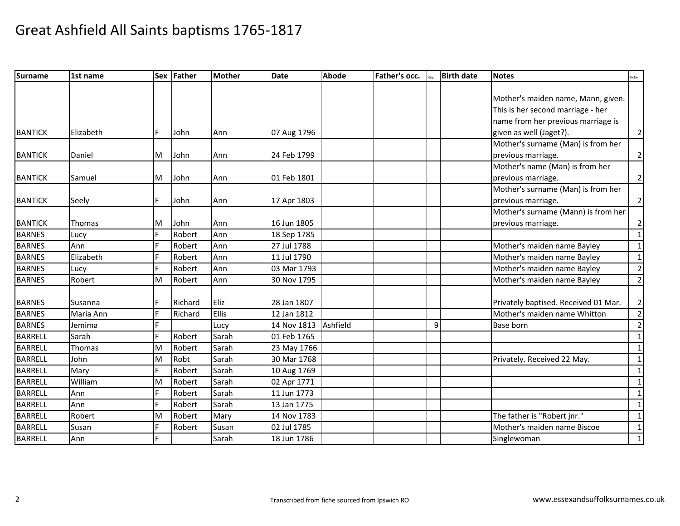| <b>Surname</b> | 1st name      |    | Sex Father | <b>Mother</b> | <b>Date</b> | Abode    | Father's occ. |   | <b>Birth date</b> | <b>Notes</b>                         | Fiche          |
|----------------|---------------|----|------------|---------------|-------------|----------|---------------|---|-------------------|--------------------------------------|----------------|
|                |               |    |            |               |             |          |               |   |                   |                                      |                |
|                |               |    |            |               |             |          |               |   |                   | Mother's maiden name, Mann, given.   |                |
|                |               |    |            |               |             |          |               |   |                   | This is her second marriage - her    |                |
|                |               |    |            |               |             |          |               |   |                   | name from her previous marriage is   |                |
| <b>BANTICK</b> | Elizabeth     | F  | John       | Ann           | 07 Aug 1796 |          |               |   |                   | given as well (Jaget?).              | $\mathbf{2}$   |
|                |               |    |            |               |             |          |               |   |                   | Mother's surname (Man) is from her   |                |
| <b>BANTICK</b> | Daniel        | M  | John       | Ann           | 24 Feb 1799 |          |               |   |                   | previous marriage.                   | $\mathbf{2}$   |
|                |               |    |            |               |             |          |               |   |                   | Mother's name (Man) is from her      |                |
| <b>BANTICK</b> | Samuel        | M  | John       | Ann           | 01 Feb 1801 |          |               |   |                   | previous marriage.                   | $\mathbf{2}$   |
|                |               |    |            |               |             |          |               |   |                   | Mother's surname (Man) is from her   |                |
| <b>BANTICK</b> | Seely         | F  | John       | Ann           | 17 Apr 1803 |          |               |   |                   | previous marriage.                   | $\overline{2}$ |
|                |               |    |            |               |             |          |               |   |                   | Mother's surname (Mann) is from her  |                |
| <b>BANTICK</b> | <b>Thomas</b> | M  | John       | Ann           | 16 Jun 1805 |          |               |   |                   | previous marriage.                   | $\mathbf{2}$   |
| <b>BARNES</b>  | Lucy          | F  | Robert     | Ann           | 18 Sep 1785 |          |               |   |                   |                                      | $\mathbf{1}$   |
| <b>BARNES</b>  | Ann           |    | Robert     | Ann           | 27 Jul 1788 |          |               |   |                   | Mother's maiden name Bayley          | $\mathbf{1}$   |
| <b>BARNES</b>  | Elizabeth     | F. | Robert     | Ann           | 11 Jul 1790 |          |               |   |                   | Mother's maiden name Bayley          | 1              |
| <b>BARNES</b>  | Lucy          | F. | Robert     | Ann           | 03 Mar 1793 |          |               |   |                   | Mother's maiden name Bayley          | $\overline{2}$ |
| <b>BARNES</b>  | Robert        | M  | Robert     | Ann           | 30 Nov 1795 |          |               |   |                   | Mother's maiden name Bayley          | $\overline{2}$ |
|                |               |    |            |               |             |          |               |   |                   |                                      |                |
| <b>BARNES</b>  | Susanna       | F  | Richard    | Eliz          | 28 Jan 1807 |          |               |   |                   | Privately baptised. Received 01 Mar. | $\overline{2}$ |
| <b>BARNES</b>  | Maria Ann     | Е  | Richard    | <b>Ellis</b>  | 12 Jan 1812 |          |               |   |                   | Mother's maiden name Whitton         | $\overline{2}$ |
| <b>BARNES</b>  | Jemima        | E  |            | Lucy          | 14 Nov 1813 | Ashfield |               | 9 |                   | Base born                            | $\overline{2}$ |
| <b>BARRELL</b> | Sarah         | F. | Robert     | Sarah         | 01 Feb 1765 |          |               |   |                   |                                      | $\mathbf{1}$   |
| <b>BARRELL</b> | Thomas        | M  | Robert     | Sarah         | 23 May 1766 |          |               |   |                   |                                      | $\mathbf{1}$   |
| <b>BARRELL</b> | John          | M  | Robt       | Sarah         | 30 Mar 1768 |          |               |   |                   | Privately. Received 22 May.          | $\mathbf{1}$   |
| <b>BARRELL</b> | Mary          | F  | Robert     | Sarah         | 10 Aug 1769 |          |               |   |                   |                                      | $\mathbf{1}$   |
| <b>BARRELL</b> | William       | M  | Robert     | Sarah         | 02 Apr 1771 |          |               |   |                   |                                      | $\mathbf 1$    |
| <b>BARRELL</b> | Ann           | F. | Robert     | Sarah         | 11 Jun 1773 |          |               |   |                   |                                      | $\mathbf{1}$   |
| <b>BARRELL</b> | Ann           | Ė  | Robert     | Sarah         | 13 Jan 1775 |          |               |   |                   |                                      | $\mathbf{1}$   |
| <b>BARRELL</b> | Robert        | M  | Robert     | Mary          | 14 Nov 1783 |          |               |   |                   | The father is "Robert jnr."          | $\mathbf{1}$   |
| <b>BARRELL</b> | Susan         |    | Robert     | Susan         | 02 Jul 1785 |          |               |   |                   | Mother's maiden name Biscoe          | $\mathbf{1}$   |
| <b>BARRELL</b> | Ann           |    |            | Sarah         | 18 Jun 1786 |          |               |   |                   | Singlewoman                          | $\mathbf 1$    |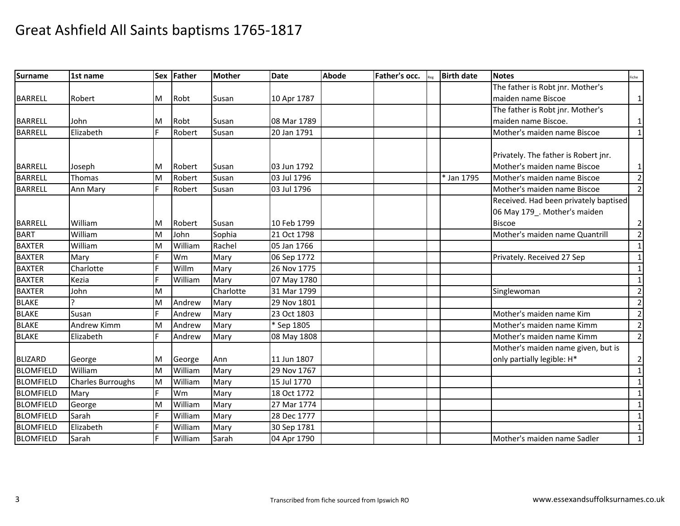| <b>Surname</b>   | 1st name                 | <b>Sex</b> | Father  | Mother    | <b>Date</b> | <b>Abode</b> | Father's occ. | <b>Birth date</b> | <b>Notes</b>                          | Fiche          |
|------------------|--------------------------|------------|---------|-----------|-------------|--------------|---------------|-------------------|---------------------------------------|----------------|
|                  |                          |            |         |           |             |              |               |                   | The father is Robt jnr. Mother's      |                |
| <b>BARRELL</b>   | Robert                   | M          | Robt    | Susan     | 10 Apr 1787 |              |               |                   | maiden name Biscoe                    | 1              |
|                  |                          |            |         |           |             |              |               |                   | The father is Robt jnr. Mother's      |                |
| <b>BARRELL</b>   | John                     | М          | Robt    | Susan     | 08 Mar 1789 |              |               |                   | maiden name Biscoe.                   | 1              |
| <b>BARRELL</b>   | Elizabeth                | F          | Robert  | Susan     | 20 Jan 1791 |              |               |                   | Mother's maiden name Biscoe           | $\mathbf{1}$   |
|                  |                          |            |         |           |             |              |               |                   |                                       |                |
|                  |                          |            |         |           |             |              |               |                   | Privately. The father is Robert jnr.  |                |
| <b>BARRELL</b>   | Joseph                   | M          | Robert  | Susan     | 03 Jun 1792 |              |               |                   | Mother's maiden name Biscoe           | $\mathbf{1}$   |
| <b>BARRELL</b>   | Thomas                   | M          | Robert  | Susan     | 03 Jul 1796 |              |               | * Jan 1795        | Mother's maiden name Biscoe           | $\overline{2}$ |
| <b>BARRELL</b>   | Ann Mary                 | F          | Robert  | Susan     | 03 Jul 1796 |              |               |                   | Mother's maiden name Biscoe           | $\overline{2}$ |
|                  |                          |            |         |           |             |              |               |                   | Received. Had been privately baptised |                |
|                  |                          |            |         |           |             |              |               |                   | 06 May 179_. Mother's maiden          |                |
| <b>BARRELL</b>   | William                  | М          | Robert  | Susan     | 10 Feb 1799 |              |               |                   | <b>Biscoe</b>                         | 2              |
| <b>BART</b>      | William                  | M          | John    | Sophia    | 21 Oct 1798 |              |               |                   | Mother's maiden name Quantrill        | $\mathbf 2$    |
| <b>BAXTER</b>    | William                  | M          | William | Rachel    | 05 Jan 1766 |              |               |                   |                                       | $\mathbf{1}$   |
| <b>BAXTER</b>    | Mary                     |            | Wm      | Mary      | 06 Sep 1772 |              |               |                   | Privately. Received 27 Sep            | 1              |
| <b>BAXTER</b>    | Charlotte                | F.         | Willm   | Mary      | 26 Nov 1775 |              |               |                   |                                       | $\mathbf{1}$   |
| <b>BAXTER</b>    | Kezia                    | E          | William | Mary      | 07 May 1780 |              |               |                   |                                       | 1              |
| <b>BAXTER</b>    | John                     | M          |         | Charlotte | 31 Mar 1799 |              |               |                   | Singlewoman                           | $\overline{2}$ |
| <b>BLAKE</b>     |                          | M          | Andrew  | Mary      | 29 Nov 1801 |              |               |                   |                                       | $\overline{2}$ |
| <b>BLAKE</b>     | Susan                    | F          | Andrew  | Mary      | 23 Oct 1803 |              |               |                   | Mother's maiden name Kim              | $\overline{2}$ |
| <b>BLAKE</b>     | <b>Andrew Kimm</b>       | M          | Andrew  | Mary      | * Sep 1805  |              |               |                   | Mother's maiden name Kimm             | $\overline{2}$ |
| <b>BLAKE</b>     | Elizabeth                | F.         | Andrew  | Mary      | 08 May 1808 |              |               |                   | Mother's maiden name Kimm             | 2              |
|                  |                          |            |         |           |             |              |               |                   | Mother's maiden name given, but is    |                |
| <b>BLIZARD</b>   | George                   | M          | George  | Ann       | 11 Jun 1807 |              |               |                   | only partially legible: H*            | $\overline{2}$ |
| <b>BLOMFIELD</b> | William                  | M          | William | Mary      | 29 Nov 1767 |              |               |                   |                                       | 1              |
| <b>BLOMFIELD</b> | <b>Charles Burroughs</b> | M          | William | Mary      | 15 Jul 1770 |              |               |                   |                                       | 1              |
| <b>BLOMFIELD</b> | Mary                     |            | Wm      | Mary      | 18 Oct 1772 |              |               |                   |                                       | 1              |
| <b>BLOMFIELD</b> | George                   | M          | William | Mary      | 27 Mar 1774 |              |               |                   |                                       | $\mathbf{1}$   |
| <b>BLOMFIELD</b> | Sarah                    |            | William | Mary      | 28 Dec 1777 |              |               |                   |                                       | 1              |
| <b>BLOMFIELD</b> | Elizabeth                |            | William | Mary      | 30 Sep 1781 |              |               |                   |                                       | 1              |
| <b>BLOMFIELD</b> | Sarah                    |            | William | Sarah     | 04 Apr 1790 |              |               |                   | Mother's maiden name Sadler           | $\mathbf{1}$   |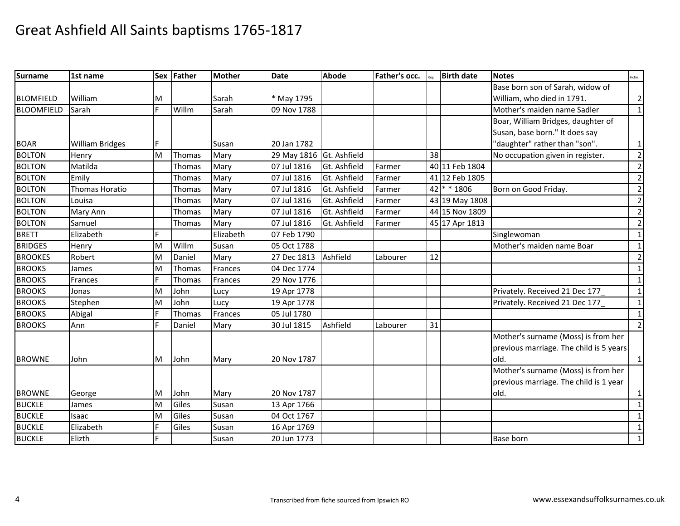| <b>Surname</b>    | 1st name               |     | Sex Father    | <b>Mother</b> | <b>Date</b> | Abode        | Father's occ. |    | <b>Birth date</b> | <b>Notes</b>                            | Fiche          |
|-------------------|------------------------|-----|---------------|---------------|-------------|--------------|---------------|----|-------------------|-----------------------------------------|----------------|
|                   |                        |     |               |               |             |              |               |    |                   | Base born son of Sarah, widow of        |                |
| <b>BLOMFIELD</b>  | William                | м   |               | Sarah         | * May 1795  |              |               |    |                   | William, who died in 1791.              | $\overline{2}$ |
| <b>BLOOMFIELD</b> | Sarah                  | F.  | Willm         | Sarah         | 09 Nov 1788 |              |               |    |                   | Mother's maiden name Sadler             | $\mathbf{1}$   |
|                   |                        |     |               |               |             |              |               |    |                   | Boar, William Bridges, daughter of      |                |
|                   |                        |     |               |               |             |              |               |    |                   | Susan, base born." It does say          |                |
| <b>BOAR</b>       | <b>William Bridges</b> | IF. |               | Susan         | 20 Jan 1782 |              |               |    |                   | 'daughter" rather than "son".           | $\mathbf 1$    |
| <b>BOLTON</b>     | Henry                  | M   | Thomas        | Mary          | 29 May 1816 | Gt. Ashfield |               | 38 |                   | No occupation given in register.        | $\overline{2}$ |
| <b>BOLTON</b>     | Matilda                |     | Thomas        | Mary          | 07 Jul 1816 | Gt. Ashfield | Farmer        |    | 40 11 Feb 1804    |                                         | $\overline{2}$ |
| <b>BOLTON</b>     | Emily                  |     | <b>Thomas</b> | Mary          | 07 Jul 1816 | Gt. Ashfield | Farmer        |    | 41 12 Feb 1805    |                                         | $\overline{2}$ |
| <b>BOLTON</b>     | Thomas Horatio         |     | Thomas        | Mary          | 07 Jul 1816 | Gt. Ashfield | Farmer        |    | 42 * * 1806       | Born on Good Friday.                    | $\mathbf{2}$   |
| <b>BOLTON</b>     | Louisa                 |     | Thomas        | Mary          | 07 Jul 1816 | Gt. Ashfield | Farmer        |    | 43 19 May 1808    |                                         | $\overline{2}$ |
| <b>BOLTON</b>     | Mary Ann               |     | Thomas        | Mary          | 07 Jul 1816 | Gt. Ashfield | Farmer        |    | 44 15 Nov 1809    |                                         | $\overline{2}$ |
| <b>BOLTON</b>     | Samuel                 |     | <b>Thomas</b> | Marv          | 07 Jul 1816 | Gt. Ashfield | Farmer        |    | 45 17 Apr 1813    |                                         | $\overline{2}$ |
| <b>BRETT</b>      | Elizabeth              | F.  |               | Elizabeth     | 07 Feb 1790 |              |               |    |                   | Singlewoman                             | $\mathbf{1}$   |
| <b>BRIDGES</b>    | Henry                  | M   | Willm         | Susan         | 05 Oct 1788 |              |               |    |                   | Mother's maiden name Boar               | $\mathbf{1}$   |
| <b>BROOKES</b>    | Robert                 | M   | Daniel        | Mary          | 27 Dec 1813 | Ashfield     | Labourer      | 12 |                   |                                         | $\overline{2}$ |
| <b>BROOKS</b>     | James                  | M   | Thomas        | Frances       | 04 Dec 1774 |              |               |    |                   |                                         | $\mathbf{1}$   |
| <b>BROOKS</b>     | Frances                | F   | Thomas        | Frances       | 29 Nov 1776 |              |               |    |                   |                                         | $\mathbf{1}$   |
| <b>BROOKS</b>     | Jonas                  | м   | John          | Lucy          | 19 Apr 1778 |              |               |    |                   | Privately. Received 21 Dec 177          | $\mathbf{1}$   |
| <b>BROOKS</b>     | Stephen                | M   | John          | Lucy          | 19 Apr 1778 |              |               |    |                   | Privately. Received 21 Dec 177          | $\mathbf{1}$   |
| <b>BROOKS</b>     | Abigal                 | F.  | Thomas        | Frances       | 05 Jul 1780 |              |               |    |                   |                                         | $\mathbf 1$    |
| <b>BROOKS</b>     | Ann                    | F   | Daniel        | Mary          | 30 Jul 1815 | Ashfield     | Labourer      | 31 |                   |                                         | $\overline{2}$ |
|                   |                        |     |               |               |             |              |               |    |                   | Mother's surname (Moss) is from her     |                |
|                   |                        |     |               |               |             |              |               |    |                   | previous marriage. The child is 5 years |                |
| <b>BROWNE</b>     | John                   | M   | John          | Mary          | 20 Nov 1787 |              |               |    |                   | old.                                    | $\mathbf{1}$   |
|                   |                        |     |               |               |             |              |               |    |                   | Mother's surname (Moss) is from her     |                |
|                   |                        |     |               |               |             |              |               |    |                   | previous marriage. The child is 1 year  |                |
| <b>BROWNE</b>     | George                 | M   | John          | Mary          | 20 Nov 1787 |              |               |    |                   | old.                                    | $\mathbf{1}$   |
| <b>BUCKLE</b>     | James                  | M   | Giles         | Susan         | 13 Apr 1766 |              |               |    |                   |                                         | $\mathbf{1}$   |
| <b>BUCKLE</b>     | Isaac                  | M   | Giles         | Susan         | 04 Oct 1767 |              |               |    |                   |                                         | $\mathbf{1}$   |
| <b>BUCKLE</b>     | Elizabeth              |     | Giles         | Susan         | 16 Apr 1769 |              |               |    |                   |                                         | $\mathbf{1}$   |
| <b>BUCKLE</b>     | Elizth                 | F   |               | Susan         | 20 Jun 1773 |              |               |    |                   | <b>Base born</b>                        | $\mathbf 1$    |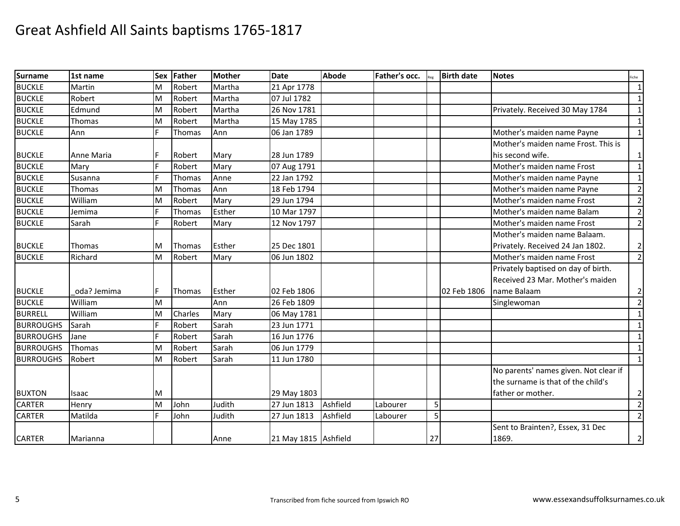| <b>Surname</b>   | 1st name    | <b>Sex</b> | Father        | <b>Mother</b> | <b>Date</b>          | <b>Abode</b> | Father's occ. |    | <b>Birth date</b> | <b>Notes</b>                          | iche           |
|------------------|-------------|------------|---------------|---------------|----------------------|--------------|---------------|----|-------------------|---------------------------------------|----------------|
| <b>BUCKLE</b>    | Martin      | M          | Robert        | Martha        | 21 Apr 1778          |              |               |    |                   |                                       | $\mathbf{1}$   |
| <b>BUCKLE</b>    | Robert      | M          | Robert        | Martha        | 07 Jul 1782          |              |               |    |                   |                                       | 1              |
| <b>BUCKLE</b>    | Edmund      | M          | Robert        | Martha        | 26 Nov 1781          |              |               |    |                   | Privately. Received 30 May 1784       | $\mathbf{1}$   |
| <b>BUCKLE</b>    | Thomas      | M          | Robert        | Martha        | 15 May 1785          |              |               |    |                   |                                       | $\mathbf{1}$   |
| <b>BUCKLE</b>    | Ann         | F          | Thomas        | Ann           | 06 Jan 1789          |              |               |    |                   | Mother's maiden name Payne            | $\mathbf{1}$   |
|                  |             |            |               |               |                      |              |               |    |                   | Mother's maiden name Frost. This is   |                |
| <b>BUCKLE</b>    | Anne Maria  | F          | Robert        | Mary          | 28 Jun 1789          |              |               |    |                   | his second wife.                      | $\mathbf{1}$   |
| <b>BUCKLE</b>    | Mary        | F          | Robert        | Mary          | 07 Aug 1791          |              |               |    |                   | Mother's maiden name Frost            | $\mathbf{1}$   |
| <b>BUCKLE</b>    | Susanna     | F.         | Thomas        | Anne          | 22 Jan 1792          |              |               |    |                   | Mother's maiden name Payne            | $\mathbf{1}$   |
| <b>BUCKLE</b>    | Thomas      | M          | Thomas        | Ann           | 18 Feb 1794          |              |               |    |                   | Mother's maiden name Payne            | $\overline{2}$ |
| <b>BUCKLE</b>    | William     | M          | Robert        | Mary          | 29 Jun 1794          |              |               |    |                   | Mother's maiden name Frost            | $\overline{2}$ |
| <b>BUCKLE</b>    | Jemima      | F          | Thomas        | Esther        | 10 Mar 1797          |              |               |    |                   | Mother's maiden name Balam            | $\overline{2}$ |
| <b>BUCKLE</b>    | Sarah       | F          | Robert        | Mary          | 12 Nov 1797          |              |               |    |                   | Mother's maiden name Frost            | $\overline{2}$ |
|                  |             |            |               |               |                      |              |               |    |                   | Mother's maiden name Balaam.          |                |
| <b>BUCKLE</b>    | Thomas      | M          | Thomas        | Esther        | 25 Dec 1801          |              |               |    |                   | Privately. Received 24 Jan 1802.      | $\overline{2}$ |
| <b>BUCKLE</b>    | Richard     | M          | Robert        | Mary          | 06 Jun 1802          |              |               |    |                   | Mother's maiden name Frost            | $\overline{2}$ |
|                  |             |            |               |               |                      |              |               |    |                   | Privately baptised on day of birth.   |                |
|                  |             |            |               |               |                      |              |               |    |                   | Received 23 Mar. Mother's maiden      |                |
| <b>BUCKLE</b>    | oda? Jemima | F          | <b>Thomas</b> | Esther        | 02 Feb 1806          |              |               |    | 02 Feb 1806       | name Balaam                           | $\overline{2}$ |
| <b>BUCKLE</b>    | William     | M          |               | Ann           | 26 Feb 1809          |              |               |    |                   | Singlewoman                           | $\overline{2}$ |
| <b>BURRELL</b>   | William     | M          | Charles       | Mary          | 06 May 1781          |              |               |    |                   |                                       | $\mathbf{1}$   |
| <b>BURROUGHS</b> | Sarah       | F          | Robert        | Sarah         | 23 Jun 1771          |              |               |    |                   |                                       | $\mathbf{1}$   |
| <b>BURROUGHS</b> | Jane        | F          | Robert        | Sarah         | 16 Jun 1776          |              |               |    |                   |                                       | 1              |
| <b>BURROUGHS</b> | Thomas      | M          | Robert        | Sarah         | 06 Jun 1779          |              |               |    |                   |                                       | $\mathbf{1}$   |
| <b>BURROUGHS</b> | Robert      | M          | Robert        | Sarah         | 11 Jun 1780          |              |               |    |                   |                                       | $\mathbf{1}$   |
|                  |             |            |               |               |                      |              |               |    |                   | No parents' names given. Not clear if |                |
|                  |             |            |               |               |                      |              |               |    |                   | the surname is that of the child's    |                |
| <b>BUXTON</b>    | Isaac       | М          |               |               | 29 May 1803          |              |               |    |                   | father or mother.                     | $\overline{2}$ |
| <b>CARTER</b>    | Henry       | M          | John          | Judith        | 27 Jun 1813          | Ashfield     | Labourer      | 5  |                   |                                       | $\overline{2}$ |
| <b>CARTER</b>    | Matilda     |            | John          | Judith        | 27 Jun 1813          | Ashfield     | Labourer      | 5  |                   |                                       | $\overline{2}$ |
|                  |             |            |               |               |                      |              |               |    |                   | Sent to Brainten?, Essex, 31 Dec      |                |
| <b>CARTER</b>    | Marianna    |            |               | Anne          | 21 May 1815 Ashfield |              |               | 27 |                   | 1869.                                 | $\overline{2}$ |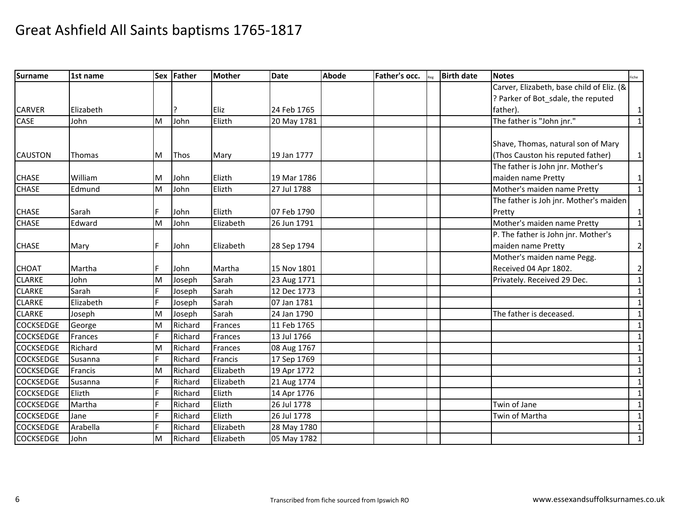| <b>Surname</b>   | 1st name       |    | Sex Father  | Mother         | <b>Date</b> | <b>Abode</b> | Father's occ. | <b>Birth date</b> | <b>Notes</b>                              | Fiche          |
|------------------|----------------|----|-------------|----------------|-------------|--------------|---------------|-------------------|-------------------------------------------|----------------|
|                  |                |    |             |                |             |              |               |                   | Carver, Elizabeth, base child of Eliz. (& |                |
|                  |                |    |             |                |             |              |               |                   | ? Parker of Bot_sdale, the reputed        |                |
| <b>CARVER</b>    | Elizabeth      |    |             | Eliz           | 24 Feb 1765 |              |               |                   | father).                                  | $\mathbf{1}$   |
| CASE             | John           | M  | John        | Elizth         | 20 May 1781 |              |               |                   | The father is "John jnr."                 | 1              |
|                  |                |    |             |                |             |              |               |                   |                                           |                |
|                  |                |    |             |                |             |              |               |                   | Shave, Thomas, natural son of Mary        |                |
| <b>CAUSTON</b>   | Thomas         | М  | <b>Thos</b> | Mary           | 19 Jan 1777 |              |               |                   | (Thos Causton his reputed father)         | 1              |
|                  |                |    |             |                |             |              |               |                   | The father is John jnr. Mother's          |                |
| <b>CHASE</b>     | William        | М  | John        | Elizth         | 19 Mar 1786 |              |               |                   | maiden name Pretty                        | $\mathbf{1}$   |
| <b>CHASE</b>     | Edmund         | M  | John        | Elizth         | 27 Jul 1788 |              |               |                   | Mother's maiden name Pretty               | $\mathbf{1}$   |
|                  |                |    |             |                |             |              |               |                   | The father is Joh jnr. Mother's maiden    |                |
| <b>CHASE</b>     | Sarah          |    | John        | Elizth         | 07 Feb 1790 |              |               |                   | Pretty                                    | 1              |
| <b>CHASE</b>     | Edward         | M  | John        | Elizabeth      | 26 Jun 1791 |              |               |                   | Mother's maiden name Pretty               | $\mathbf{1}$   |
|                  |                |    |             |                |             |              |               |                   | P. The father is John jnr. Mother's       |                |
| <b>CHASE</b>     | Mary           | F  | John        | Elizabeth      | 28 Sep 1794 |              |               |                   | maiden name Pretty                        | $\overline{2}$ |
|                  |                |    |             |                |             |              |               |                   | Mother's maiden name Pegg.                |                |
| <b>CHOAT</b>     | Martha         | F  | John        | Martha         | 15 Nov 1801 |              |               |                   | Received 04 Apr 1802.                     | $\overline{2}$ |
| <b>CLARKE</b>    | John           | M  | Joseph      | Sarah          | 23 Aug 1771 |              |               |                   | Privately. Received 29 Dec.               | 1              |
| <b>CLARKE</b>    | Sarah          |    | Joseph      | Sarah          | 12 Dec 1773 |              |               |                   |                                           | 1              |
| <b>CLARKE</b>    | Elizabeth      |    | Joseph      | Sarah          | 07 Jan 1781 |              |               |                   |                                           | $\mathbf{1}$   |
| <b>CLARKE</b>    | Joseph         | м  | Joseph      | Sarah          | 24 Jan 1790 |              |               |                   | The father is deceased.                   | 1              |
| <b>COCKSEDGE</b> | George         | M  | Richard     | Frances        | 11 Feb 1765 |              |               |                   |                                           | 1              |
| <b>COCKSEDGE</b> | Frances        |    | Richard     | <b>Frances</b> | 13 Jul 1766 |              |               |                   |                                           | 1              |
| COCKSEDGE        | Richard        | M  | Richard     | Frances        | 08 Aug 1767 |              |               |                   |                                           | 1              |
| <b>COCKSEDGE</b> | Susanna        |    | Richard     | <b>Francis</b> | 17 Sep 1769 |              |               |                   |                                           | $\mathbf{1}$   |
| <b>COCKSEDGE</b> | <b>Francis</b> | M  | Richard     | Elizabeth      | 19 Apr 1772 |              |               |                   |                                           | $\mathbf{1}$   |
| <b>COCKSEDGE</b> | Susanna        |    | Richard     | Elizabeth      | 21 Aug 1774 |              |               |                   |                                           | $\mathbf{1}$   |
| <b>COCKSEDGE</b> | Elizth         |    | Richard     | Elizth         | 14 Apr 1776 |              |               |                   |                                           | 1              |
| <b>COCKSEDGE</b> | Martha         |    | Richard     | Elizth         | 26 Jul 1778 |              |               |                   | Twin of Jane                              | $\mathbf{1}$   |
| <b>COCKSEDGE</b> | Jane           | F. | Richard     | Elizth         | 26 Jul 1778 |              |               |                   | Twin of Martha                            | $\mathbf{1}$   |
| <b>COCKSEDGE</b> | Arabella       | F. | Richard     | Elizabeth      | 28 May 1780 |              |               |                   |                                           | 1              |
| <b>COCKSEDGE</b> | John           | M  | Richard     | Elizabeth      | 05 May 1782 |              |               |                   |                                           | $\mathbf{1}$   |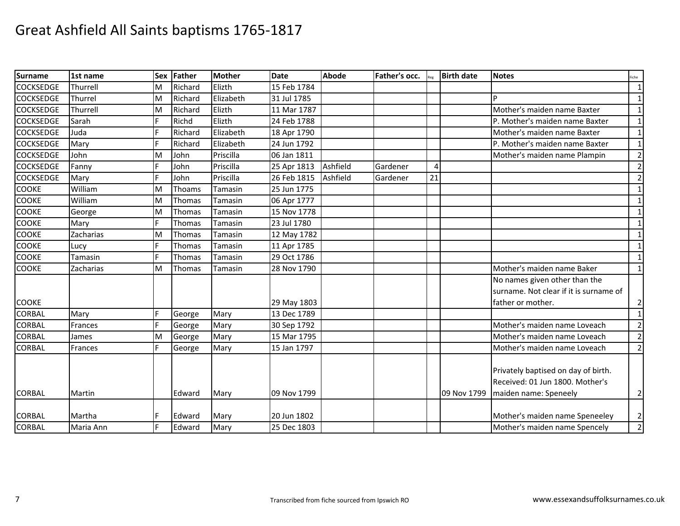| <b>Surname</b>   | 1st name       | <b>Sex</b> | Father  | <b>Mother</b> | <b>Date</b> | <b>Abode</b> | Father's occ. |                | <b>Birth date</b> | <b>Notes</b>                           | Fiche          |
|------------------|----------------|------------|---------|---------------|-------------|--------------|---------------|----------------|-------------------|----------------------------------------|----------------|
| <b>COCKSEDGE</b> | Thurrell       | M          | Richard | Elizth        | 15 Feb 1784 |              |               |                |                   |                                        | $\vert$ 1      |
| <b>COCKSEDGE</b> | Thurrel        | M          | Richard | Elizabeth     | 31 Jul 1785 |              |               |                |                   |                                        | $\mathbf{1}$   |
| <b>COCKSEDGE</b> | Thurrell       | M          | Richard | Elizth        | 11 Mar 1787 |              |               |                |                   | Mother's maiden name Baxter            | $\vert$ 1      |
| <b>COCKSEDGE</b> | Sarah          | F          | Richd   | Elizth        | 24 Feb 1788 |              |               |                |                   | P. Mother's maiden name Baxter         | $\vert$ 1      |
| <b>COCKSEDGE</b> | Juda           |            | Richard | Elizabeth     | 18 Apr 1790 |              |               |                |                   | Mother's maiden name Baxter            | 1              |
| <b>COCKSEDGE</b> | Mary           | F          | Richard | Elizabeth     | 24 Jun 1792 |              |               |                |                   | P. Mother's maiden name Baxter         | $\mathbf{1}$   |
| <b>COCKSEDGE</b> | John           | M          | John    | Priscilla     | 06 Jan 1811 |              |               |                |                   | Mother's maiden name Plampin           | $\overline{2}$ |
| <b>COCKSEDGE</b> | Fanny          | F          | John    | Priscilla     | 25 Apr 1813 | Ashfield     | Gardener      | $\overline{4}$ |                   |                                        | $\overline{2}$ |
| <b>COCKSEDGE</b> | Mary           | F          | John    | Priscilla     | 26 Feb 1815 | Ashfield     | Gardener      | 21             |                   |                                        | $\overline{2}$ |
| <b>COOKE</b>     | William        | M          | Thoams  | Tamasin       | 25 Jun 1775 |              |               |                |                   |                                        | 1              |
| <b>COOKE</b>     | William        | M          | Thomas  | Tamasin       | 06 Apr 1777 |              |               |                |                   |                                        | $\mathbf{1}$   |
| <b>COOKE</b>     | George         | M          | Thomas  | Tamasin       | 15 Nov 1778 |              |               |                |                   |                                        | $\mathbf{1}$   |
| <b>COOKE</b>     | Mary           | F          | Thomas  | Tamasin       | 23 Jul 1780 |              |               |                |                   |                                        | $\mathbf{1}$   |
| <b>COOKE</b>     | Zacharias      | M          | Thomas  | Tamasin       | 12 May 1782 |              |               |                |                   |                                        | $\vert$ 1      |
| <b>COOKE</b>     | Lucy           |            | Thomas  | Tamasin       | 11 Apr 1785 |              |               |                |                   |                                        | $\mathbf{1}$   |
| <b>COOKE</b>     | Tamasin        |            | Thomas  | Tamasin       | 29 Oct 1786 |              |               |                |                   |                                        | $\vert$ 1      |
| <b>COOKE</b>     | Zacharias      | м          | Thomas  | Tamasin       | 28 Nov 1790 |              |               |                |                   | Mother's maiden name Baker             | $\vert$ 1      |
|                  |                |            |         |               |             |              |               |                |                   | No names given other than the          |                |
|                  |                |            |         |               |             |              |               |                |                   | surname. Not clear if it is surname of |                |
| <b>COOKE</b>     |                |            |         |               | 29 May 1803 |              |               |                |                   | father or mother.                      | $\overline{2}$ |
| <b>CORBAL</b>    | Mary           |            | George  | Mary          | 13 Dec 1789 |              |               |                |                   |                                        | $\vert$ 1      |
| <b>CORBAL</b>    | <b>Frances</b> | Е          | George  | Mary          | 30 Sep 1792 |              |               |                |                   | Mother's maiden name Loveach           | $\overline{2}$ |
| <b>CORBAL</b>    | James          | M          | George  | Mary          | 15 Mar 1795 |              |               |                |                   | Mother's maiden name Loveach           | $\overline{2}$ |
| <b>CORBAL</b>    | Frances        |            | George  | Mary          | 15 Jan 1797 |              |               |                |                   | Mother's maiden name Loveach           | $\overline{2}$ |
|                  |                |            |         |               |             |              |               |                |                   |                                        |                |
|                  |                |            |         |               |             |              |               |                |                   | Privately baptised on day of birth.    |                |
|                  |                |            |         |               |             |              |               |                |                   | Received: 01 Jun 1800. Mother's        |                |
| <b>CORBAL</b>    | Martin         |            | Edward  | Mary          | 09 Nov 1799 |              |               |                | 09 Nov 1799       | maiden name: Speneely                  | $\overline{2}$ |
|                  |                |            |         |               |             |              |               |                |                   |                                        |                |
| <b>CORBAL</b>    | Martha         |            | Edward  | Mary          | 20 Jun 1802 |              |               |                |                   | Mother's maiden name Speneeley         | $\overline{2}$ |
| CORBAL           | Maria Ann      | F          | Edward  | Mary          | 25 Dec 1803 |              |               |                |                   | Mother's maiden name Spencely          | $\overline{2}$ |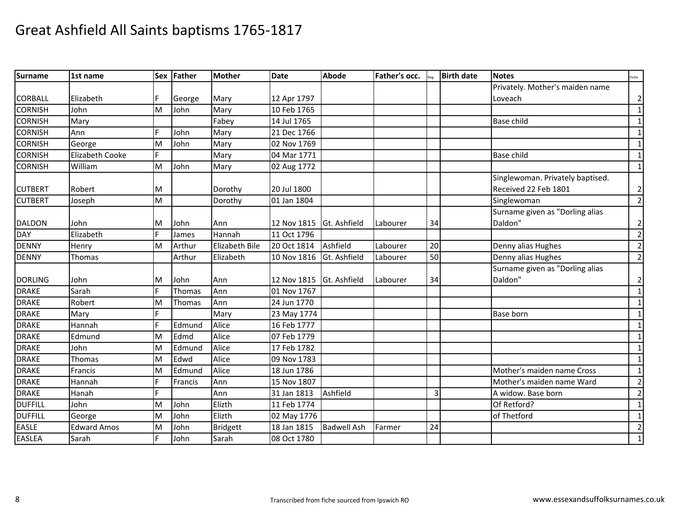| <b>Surname</b> | 1st name           | <b>Sex</b> | Father  | <b>Mother</b>  | <b>Date</b>              | <b>Abode</b>       | Father's occ. |    | <b>Birth date</b> | <b>Notes</b>                     | Fiche          |
|----------------|--------------------|------------|---------|----------------|--------------------------|--------------------|---------------|----|-------------------|----------------------------------|----------------|
|                |                    |            |         |                |                          |                    |               |    |                   | Privately. Mother's maiden name  |                |
| <b>CORBALL</b> | Elizabeth          |            | George  | Mary           | 12 Apr 1797              |                    |               |    |                   | Loveach                          | $\overline{2}$ |
| <b>CORNISH</b> | John               | M          | John    | Mary           | 10 Feb 1765              |                    |               |    |                   |                                  | $\mathbf{1}$   |
| <b>CORNISH</b> | Mary               |            |         | Fabey          | 14 Jul 1765              |                    |               |    |                   | <b>Base child</b>                | $\mathbf{1}$   |
| <b>CORNISH</b> | Ann                | E          | John    | Mary           | 21 Dec 1766              |                    |               |    |                   |                                  | $\mathbf{1}$   |
| <b>CORNISH</b> | George             | M          | John    | Mary           | 02 Nov 1769              |                    |               |    |                   |                                  | $\mathbf{1}$   |
| <b>CORNISH</b> | Elizabeth Cooke    |            |         | Mary           | 04 Mar 1771              |                    |               |    |                   | <b>Base child</b>                | $\mathbf{1}$   |
| <b>CORNISH</b> | William            | M          | John    | Mary           | 02 Aug 1772              |                    |               |    |                   |                                  | $\mathbf{1}$   |
|                |                    |            |         |                |                          |                    |               |    |                   | Singlewoman. Privately baptised. |                |
| <b>CUTBERT</b> | Robert             | м          |         | Dorothy        | 20 Jul 1800              |                    |               |    |                   | Received 22 Feb 1801             | $\overline{2}$ |
| <b>CUTBERT</b> | Joseph             | M          |         | Dorothy        | 01 Jan 1804              |                    |               |    |                   | Singlewoman                      | $\overline{2}$ |
|                |                    |            |         |                |                          |                    |               |    |                   | Surname given as "Dorling alias  |                |
| <b>DALDON</b>  | John               | M          | John    | Ann            | 12 Nov 1815 Gt. Ashfield |                    | Labourer      | 34 |                   | Daldon"                          | $\overline{2}$ |
| <b>DAY</b>     | Elizabeth          | F.         | James   | Hannah         | 11 Oct 1796              |                    |               |    |                   |                                  | $\overline{2}$ |
| <b>DENNY</b>   | Henry              | M          | Arthur  | Elizabeth Bile | 20 Oct 1814              | Ashfield           | Labourer      | 20 |                   | Denny alias Hughes               | $\overline{2}$ |
| <b>DENNY</b>   | Thomas             |            | Arthur  | Elizabeth      | 10 Nov 1816              | Gt. Ashfield       | Labourer      | 50 |                   | Denny alias Hughes               | $\overline{2}$ |
|                |                    |            |         |                |                          |                    |               |    |                   | Surname given as "Dorling alias  |                |
| <b>DORLING</b> | John               | M          | John    | Ann            | 12 Nov 1815              | Gt. Ashfield       | Labourer      | 34 |                   | Daldon"                          | $\overline{2}$ |
| <b>DRAKE</b>   | Sarah              |            | Thomas  | Ann            | 01 Nov 1767              |                    |               |    |                   |                                  | $\mathbf{1}$   |
| <b>DRAKE</b>   | Robert             | M          | Thomas  | Ann            | 24 Jun 1770              |                    |               |    |                   |                                  | $\mathbf{1}$   |
| <b>DRAKE</b>   | Mary               |            |         | Mary           | 23 May 1774              |                    |               |    |                   | <b>Base born</b>                 | $\mathbf{1}$   |
| <b>DRAKE</b>   | Hannah             | F.         | Edmund  | Alice          | 16 Feb 1777              |                    |               |    |                   |                                  | $\mathbf{1}$   |
| <b>DRAKE</b>   | Edmund             | M          | Edmd    | Alice          | 07 Feb 1779              |                    |               |    |                   |                                  | $\mathbf{1}$   |
| <b>DRAKE</b>   | John               | M          | Edmund  | Alice          | 17 Feb 1782              |                    |               |    |                   |                                  | $\mathbf{1}$   |
| <b>DRAKE</b>   | Thomas             | M          | Edwd    | Alice          | 09 Nov 1783              |                    |               |    |                   |                                  | $\mathbf{1}$   |
| <b>DRAKE</b>   | Francis            | M          | Edmund  | Alice          | 18 Jun 1786              |                    |               |    |                   | Mother's maiden name Cross       | $\mathbf{1}$   |
| <b>DRAKE</b>   | Hannah             |            | Francis | Ann            | 15 Nov 1807              |                    |               |    |                   | Mother's maiden name Ward        | $\overline{2}$ |
| <b>DRAKE</b>   | Hanah              | F.         |         | Ann            | 31 Jan 1813              | Ashfield           |               | 3  |                   | A widow. Base born               | $\overline{2}$ |
| <b>DUFFILL</b> | John               | M          | John    | Elizth         | 11 Feb 1774              |                    |               |    |                   | Of Retford?                      | $\mathbf{1}$   |
| <b>DUFFILL</b> | George             | M          | John    | Elizth         | 02 May 1776              |                    |               |    |                   | of Thetford                      | $\mathbf{1}$   |
| <b>EASLE</b>   | <b>Edward Amos</b> | M          | John    | Bridgett       | 18 Jan 1815              | <b>Badwell Ash</b> | Farmer        | 24 |                   |                                  | $\overline{2}$ |
| <b>EASLEA</b>  | Sarah              | F.         | John    | Sarah          | 08 Oct 1780              |                    |               |    |                   |                                  | $\mathbf{1}$   |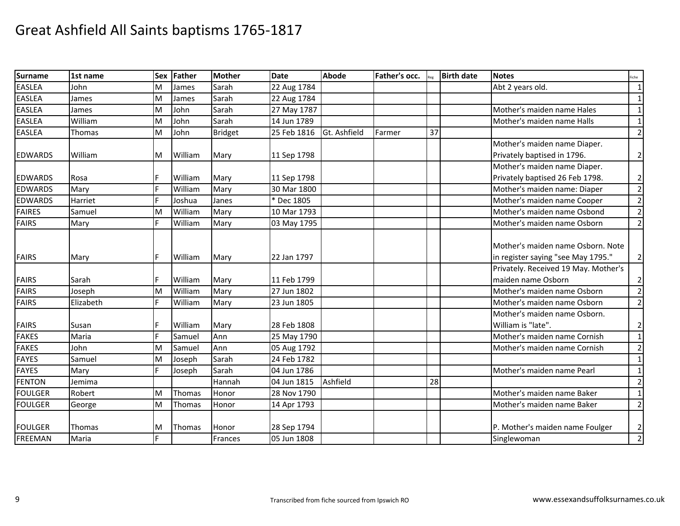| <b>Surname</b> | 1st name  | <b>Sex</b> | Father        | <b>Mother</b>  | <b>Date</b> | Abode        | Father's occ. |    | <b>Birth date</b> | <b>Notes</b>                         | Fiche          |
|----------------|-----------|------------|---------------|----------------|-------------|--------------|---------------|----|-------------------|--------------------------------------|----------------|
| <b>EASLEA</b>  | John      | M          | James         | Sarah          | 22 Aug 1784 |              |               |    |                   | Abt 2 years old.                     | $\mathbf{1}$   |
| <b>EASLEA</b>  | James     | м          | James         | Sarah          | 22 Aug 1784 |              |               |    |                   |                                      | 1              |
| <b>EASLEA</b>  | James     | M          | John          | Sarah          | 27 May 1787 |              |               |    |                   | Mother's maiden name Hales           | $\mathbf{1}$   |
| <b>EASLEA</b>  | William   | M          | John          | Sarah          | 14 Jun 1789 |              |               |    |                   | Mother's maiden name Halls           | $\mathbf{1}$   |
| <b>EASLEA</b>  | Thomas    | M          | John          | <b>Bridget</b> | 25 Feb 1816 | Gt. Ashfield | Farmer        | 37 |                   |                                      | $\overline{2}$ |
|                |           |            |               |                |             |              |               |    |                   | Mother's maiden name Diaper.         |                |
| <b>EDWARDS</b> | William   | M          | William       | Mary           | 11 Sep 1798 |              |               |    |                   | Privately baptised in 1796.          | $\overline{2}$ |
|                |           |            |               |                |             |              |               |    |                   | Mother's maiden name Diaper.         |                |
| <b>EDWARDS</b> | Rosa      |            | William       | Mary           | 11 Sep 1798 |              |               |    |                   | Privately baptised 26 Feb 1798.      | $\overline{2}$ |
| <b>EDWARDS</b> | Mary      | F          | William       | Mary           | 30 Mar 1800 |              |               |    |                   | Mother's maiden name: Diaper         | $\overline{2}$ |
| <b>EDWARDS</b> | Harriet   |            | Joshua        | Janes          | * Dec 1805  |              |               |    |                   | Mother's maiden name Cooper          | $\overline{2}$ |
| <b>FAIRES</b>  | Samuel    | M          | William       | Mary           | 10 Mar 1793 |              |               |    |                   | Mother's maiden name Osbond          | $\overline{2}$ |
| <b>FAIRS</b>   | Mary      | F.         | William       | Mary           | 03 May 1795 |              |               |    |                   | Mother's maiden name Osborn          | $\overline{2}$ |
|                |           |            |               |                |             |              |               |    |                   |                                      |                |
|                |           |            |               |                |             |              |               |    |                   | Mother's maiden name Osborn. Note    |                |
| <b>FAIRS</b>   | Mary      | F          | William       | Mary           | 22 Jan 1797 |              |               |    |                   | in register saying "see May 1795."   | $\overline{2}$ |
|                |           |            |               |                |             |              |               |    |                   | Privately. Received 19 May. Mother's |                |
| <b>FAIRS</b>   | Sarah     |            | William       | Mary           | 11 Feb 1799 |              |               |    |                   | maiden name Osborn                   | $\overline{2}$ |
| <b>FAIRS</b>   | Joseph    | M          | William       | Mary           | 27 Jun 1802 |              |               |    |                   | Mother's maiden name Osborn          | $\overline{2}$ |
| <b>FAIRS</b>   | Elizabeth | F          | William       | Mary           | 23 Jun 1805 |              |               |    |                   | Mother's maiden name Osborn          | $\overline{2}$ |
|                |           |            |               |                |             |              |               |    |                   | Mother's maiden name Osborn.         |                |
| <b>FAIRS</b>   | Susan     | F          | William       | Mary           | 28 Feb 1808 |              |               |    |                   | William is "late".                   | $\overline{2}$ |
| <b>FAKES</b>   | Maria     | F          | Samuel        | Ann            | 25 May 1790 |              |               |    |                   | Mother's maiden name Cornish         | $\mathbf{1}$   |
| <b>FAKES</b>   | John      | M          | Samuel        | Ann            | 05 Aug 1792 |              |               |    |                   | Mother's maiden name Cornish         | $\overline{2}$ |
| <b>FAYES</b>   | Samuel    | M          | Joseph        | Sarah          | 24 Feb 1782 |              |               |    |                   |                                      | $\mathbf{1}$   |
| <b>FAYES</b>   | Mary      | F          | Joseph        | Sarah          | 04 Jun 1786 |              |               |    |                   | Mother's maiden name Pearl           | 1              |
| <b>FENTON</b>  | Jemima    |            |               | Hannah         | 04 Jun 1815 | Ashfield     |               | 28 |                   |                                      | $\overline{2}$ |
| <b>FOULGER</b> | Robert    | M          | Thomas        | Honor          | 28 Nov 1790 |              |               |    |                   | Mother's maiden name Baker           | $\mathbf{1}$   |
| <b>FOULGER</b> | George    | M          | Thomas        | Honor          | 14 Apr 1793 |              |               |    |                   | Mother's maiden name Baker           | $\overline{2}$ |
|                |           |            |               |                |             |              |               |    |                   |                                      |                |
| <b>FOULGER</b> | Thomas    | M          | <b>Thomas</b> | Honor          | 28 Sep 1794 |              |               |    |                   | P. Mother's maiden name Foulger      | $\overline{2}$ |
| <b>FREEMAN</b> | Maria     |            |               | Frances        | 05 Jun 1808 |              |               |    |                   | Singlewoman                          | $\overline{2}$ |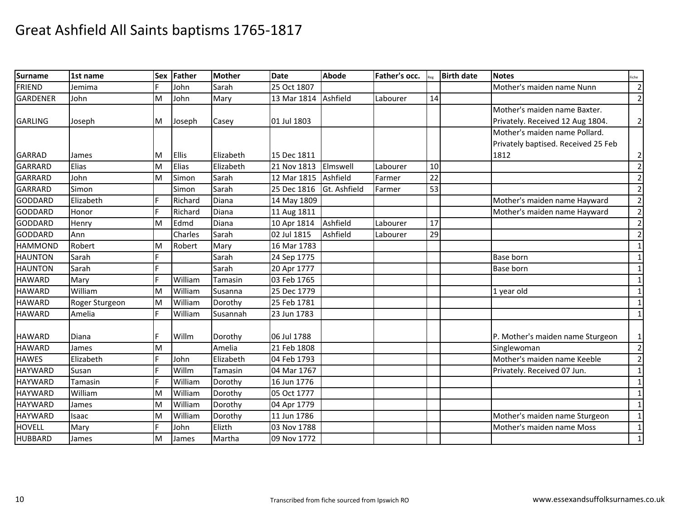| <b>Surname</b>  | 1st name       | Sex | Father       | <b>Mother</b> | <b>Date</b> | <b>Abode</b> | Father's occ. |    | <b>Birth date</b> | <b>Notes</b>                        | iche           |
|-----------------|----------------|-----|--------------|---------------|-------------|--------------|---------------|----|-------------------|-------------------------------------|----------------|
| <b>FRIEND</b>   | Jemima         |     | John         | Sarah         | 25 Oct 1807 |              |               |    |                   | Mother's maiden name Nunn           | $\overline{2}$ |
| <b>GARDENER</b> | John           | M   | John         | Mary          | 13 Mar 1814 | Ashfield     | Labourer      | 14 |                   |                                     | $\overline{2}$ |
|                 |                |     |              |               |             |              |               |    |                   | Mother's maiden name Baxter.        |                |
| <b>GARLING</b>  | Joseph         | M   | Joseph       | Casey         | 01 Jul 1803 |              |               |    |                   | Privately. Received 12 Aug 1804.    | $\overline{2}$ |
|                 |                |     |              |               |             |              |               |    |                   | Mother's maiden name Pollard.       |                |
|                 |                |     |              |               |             |              |               |    |                   | Privately baptised. Received 25 Feb |                |
| <b>GARRAD</b>   | James          | M   | <b>Ellis</b> | Elizabeth     | 15 Dec 1811 |              |               |    |                   | 1812                                | 2              |
| <b>GARRARD</b>  | Elias          | M   | Elias        | Elizabeth     | 21 Nov 1813 | Elmswell     | Labourer      | 10 |                   |                                     | $\overline{2}$ |
| <b>GARRARD</b>  | John           | M   | Simon        | Sarah         | 12 Mar 1815 | Ashfield     | Farmer        | 22 |                   |                                     | $\overline{2}$ |
| GARRARD         | Simon          |     | Simon        | Sarah         | 25 Dec 1816 | Gt. Ashfield | Farmer        | 53 |                   |                                     | $\overline{2}$ |
| <b>GODDARD</b>  | Elizabeth      |     | Richard      | Diana         | 14 May 1809 |              |               |    |                   | Mother's maiden name Hayward        | $\overline{2}$ |
| <b>GODDARD</b>  | Honor          |     | Richard      | Diana         | 11 Aug 1811 |              |               |    |                   | Mother's maiden name Hayward        | $\overline{2}$ |
| <b>GODDARD</b>  | Henry          | M   | Edmd         | Diana         | 10 Apr 1814 | Ashfield     | Labourer      | 17 |                   |                                     | $\overline{2}$ |
| GODDARD         | Ann            |     | Charles      | Sarah         | 02 Jul 1815 | Ashfield     | Labourer      | 29 |                   |                                     | $\overline{2}$ |
| <b>HAMMOND</b>  | Robert         | M   | Robert       | Mary          | 16 Mar 1783 |              |               |    |                   |                                     | $\mathbf{1}$   |
| <b>HAUNTON</b>  | Sarah          |     |              | Sarah         | 24 Sep 1775 |              |               |    |                   | Base born                           | $\mathbf{1}$   |
| <b>HAUNTON</b>  | Sarah          |     |              | Sarah         | 20 Apr 1777 |              |               |    |                   | Base born                           | $\mathbf{1}$   |
| <b>HAWARD</b>   | Mary           | E   | William      | Tamasin       | 03 Feb 1765 |              |               |    |                   |                                     | $\mathbf{1}$   |
| <b>HAWARD</b>   | William        | M   | William      | Susanna       | 25 Dec 1779 |              |               |    |                   | 1 year old                          | $\mathbf{1}$   |
| <b>HAWARD</b>   | Roger Sturgeon | M   | William      | Dorothy       | 25 Feb 1781 |              |               |    |                   |                                     | $\mathbf{1}$   |
| <b>HAWARD</b>   | Amelia         | F.  | William      | Susannah      | 23 Jun 1783 |              |               |    |                   |                                     | $\mathbf{1}$   |
|                 |                |     |              |               |             |              |               |    |                   |                                     |                |
| <b>HAWARD</b>   | Diana          | F   | Willm        | Dorothy       | 06 Jul 1788 |              |               |    |                   | P. Mother's maiden name Sturgeon    | 1              |
| <b>HAWARD</b>   | James          | M   |              | Amelia        | 21 Feb 1808 |              |               |    |                   | Singlewoman                         | $\overline{2}$ |
| <b>HAWES</b>    | Elizabeth      | F   | John         | Elizabeth     | 04 Feb 1793 |              |               |    |                   | Mother's maiden name Keeble         | $\overline{2}$ |
| <b>HAYWARD</b>  | Susan          |     | Willm        | Tamasin       | 04 Mar 1767 |              |               |    |                   | Privately. Received 07 Jun.         | $\mathbf{1}$   |
| <b>HAYWARD</b>  | Tamasin        |     | William      | Dorothy       | 16 Jun 1776 |              |               |    |                   |                                     | 1              |
| <b>HAYWARD</b>  | William        | M   | William      | Dorothy       | 05 Oct 1777 |              |               |    |                   |                                     | $\mathbf{1}$   |
| <b>HAYWARD</b>  | James          | M   | William      | Dorothy       | 04 Apr 1779 |              |               |    |                   |                                     | $\mathbf{1}$   |
| <b>HAYWARD</b>  | Isaac          | M   | William      | Dorothy       | 11 Jun 1786 |              |               |    |                   | Mother's maiden name Sturgeon       | $\mathbf{1}$   |
| <b>HOVELL</b>   | Mary           | F   | John         | Elizth        | 03 Nov 1788 |              |               |    |                   | Mother's maiden name Moss           | 1              |
| <b>HUBBARD</b>  | James          | M   | James        | Martha        | 09 Nov 1772 |              |               |    |                   |                                     | $\mathbf{1}$   |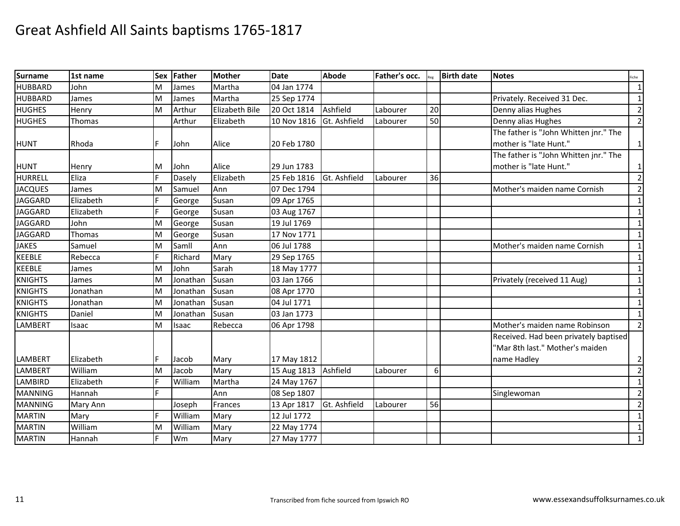| <b>Surname</b> | 1st name  | <b>Sex</b> | Father   | <b>Mother</b>  | <b>Date</b> | <b>Abode</b> | Father's occ. |    | <b>Birth date</b> | <b>Notes</b>                          | iche           |
|----------------|-----------|------------|----------|----------------|-------------|--------------|---------------|----|-------------------|---------------------------------------|----------------|
| <b>HUBBARD</b> | John      | M          | James    | Martha         | 04 Jan 1774 |              |               |    |                   |                                       | 1              |
| <b>HUBBARD</b> | James     | M          | James    | Martha         | 25 Sep 1774 |              |               |    |                   | Privately. Received 31 Dec.           | 1              |
| <b>HUGHES</b>  | Henry     | M          | Arthur   | Elizabeth Bile | 20 Oct 1814 | Ashfield     | Labourer      | 20 |                   | Denny alias Hughes                    | $\overline{2}$ |
| <b>HUGHES</b>  | Thomas    |            | Arthur   | Elizabeth      | 10 Nov 1816 | Gt. Ashfield | Labourer      | 50 |                   | Denny alias Hughes                    | $\overline{2}$ |
|                |           |            |          |                |             |              |               |    |                   | The father is "John Whitten jnr." The |                |
| <b>HUNT</b>    | Rhoda     | F          | John     | Alice          | 20 Feb 1780 |              |               |    |                   | mother is "late Hunt."                | $\mathbf{1}$   |
|                |           |            |          |                |             |              |               |    |                   | The father is "John Whitten jnr." The |                |
| <b>HUNT</b>    | Henry     | м          | John     | Alice          | 29 Jun 1783 |              |               |    |                   | mother is "late Hunt."                | 1              |
| <b>HURRELL</b> | Eliza     | F          | Dasely   | Elizabeth      | 25 Feb 1816 | Gt. Ashfield | Labourer      | 36 |                   |                                       | $\overline{2}$ |
| <b>JACQUES</b> | James     | M          | Samuel   | Ann            | 07 Dec 1794 |              |               |    |                   | Mother's maiden name Cornish          | $\overline{2}$ |
| <b>JAGGARD</b> | Elizabeth |            | George   | Susan          | 09 Apr 1765 |              |               |    |                   |                                       | $\mathbf{1}$   |
| <b>JAGGARD</b> | Elizabeth |            | George   | Susan          | 03 Aug 1767 |              |               |    |                   |                                       | $\mathbf{1}$   |
| <b>JAGGARD</b> | John      | M          | George   | Susan          | 19 Jul 1769 |              |               |    |                   |                                       | $\mathbf{1}$   |
| <b>JAGGARD</b> | Thomas    | M          | George   | Susan          | 17 Nov 1771 |              |               |    |                   |                                       | $\mathbf{1}$   |
| <b>JAKES</b>   | Samuel    | M          | Samll    | Ann            | 06 Jul 1788 |              |               |    |                   | Mother's maiden name Cornish          | $\mathbf{1}$   |
| <b>KEEBLE</b>  | Rebecca   |            | Richard  | Mary           | 29 Sep 1765 |              |               |    |                   |                                       | $\mathbf{1}$   |
| <b>KEEBLE</b>  | James     | M          | John     | Sarah          | 18 May 1777 |              |               |    |                   |                                       | $1\,$          |
| <b>KNIGHTS</b> | James     | M          | Jonathan | Susan          | 03 Jan 1766 |              |               |    |                   | Privately (received 11 Aug)           | $\mathbf{1}$   |
| <b>KNIGHTS</b> | Jonathan  | M          | Jonathan | Susan          | 08 Apr 1770 |              |               |    |                   |                                       | $\mathbf{1}$   |
| <b>KNIGHTS</b> | Jonathan  | M          | Jonathan | Susan          | 04 Jul 1771 |              |               |    |                   |                                       | $\mathbf{1}$   |
| <b>KNIGHTS</b> | Daniel    | M          | Jonathan | Susan          | 03 Jan 1773 |              |               |    |                   |                                       | $\mathbf{1}$   |
| <b>LAMBERT</b> | Isaac     | M          | Isaac    | Rebecca        | 06 Apr 1798 |              |               |    |                   | Mother's maiden name Robinson         | $\overline{2}$ |
|                |           |            |          |                |             |              |               |    |                   | Received. Had been privately baptised |                |
|                |           |            |          |                |             |              |               |    |                   | "Mar 8th last." Mother's maiden       |                |
| <b>LAMBERT</b> | Elizabeth | F          | Jacob    | Mary           | 17 May 1812 |              |               |    |                   | name Hadley                           | $\overline{2}$ |
| <b>LAMBERT</b> | William   | M          | Jacob    | Mary           | 15 Aug 1813 | Ashfield     | Labourer      | 6  |                   |                                       | $\overline{2}$ |
| LAMBIRD        | Elizabeth |            | William  | Martha         | 24 May 1767 |              |               |    |                   |                                       | 1              |
| <b>MANNING</b> | Hannah    |            |          | Ann            | 08 Sep 1807 |              |               |    |                   | Singlewoman                           | $\overline{2}$ |
| <b>MANNING</b> | Mary Ann  |            | Joseph   | Frances        | 13 Apr 1817 | Gt. Ashfield | Labourer      | 56 |                   |                                       | $\overline{2}$ |
| <b>MARTIN</b>  | Mary      | E          | William  | Mary           | 12 Jul 1772 |              |               |    |                   |                                       | $\mathbf{1}$   |
| <b>MARTIN</b>  | William   | M          | William  | Mary           | 22 May 1774 |              |               |    |                   |                                       | 1              |
| <b>MARTIN</b>  | Hannah    |            | Wm       | Mary           | 27 May 1777 |              |               |    |                   |                                       | $\mathbf{1}$   |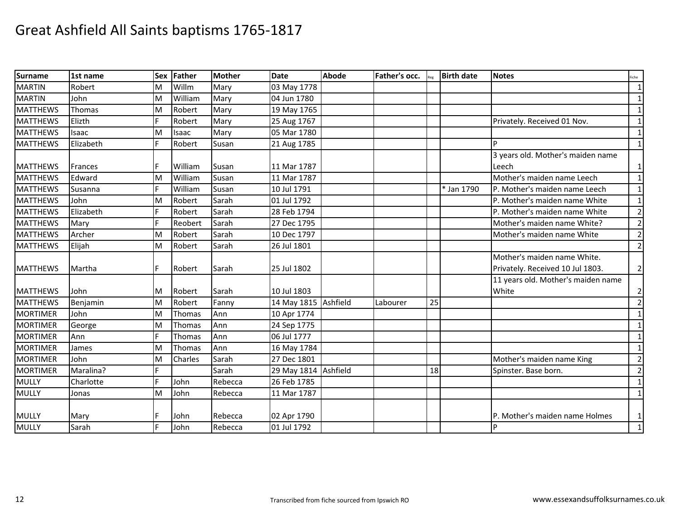| <b>Surname</b>  | 1st name  | <b>Sex</b> | Father  | <b>Mother</b> | <b>Date</b>          | <b>Abode</b> | Father's occ. |    | <b>Birth date</b> | <b>Notes</b>                       | iche           |
|-----------------|-----------|------------|---------|---------------|----------------------|--------------|---------------|----|-------------------|------------------------------------|----------------|
| <b>MARTIN</b>   | Robert    | M          | Willm   | Mary          | 03 May 1778          |              |               |    |                   |                                    | $\mathbf{1}$   |
| <b>MARTIN</b>   | John      | M          | William | Mary          | 04 Jun 1780          |              |               |    |                   |                                    | $\mathbf{1}$   |
| <b>MATTHEWS</b> | Thomas    | M          | Robert  | Mary          | 19 May 1765          |              |               |    |                   |                                    | $\mathbf{1}$   |
| <b>MATTHEWS</b> | Elizth    | F          | Robert  | Mary          | 25 Aug 1767          |              |               |    |                   | Privately. Received 01 Nov.        | $\mathbf{1}$   |
| <b>MATTHEWS</b> | Isaac     | M          | Isaac   | Mary          | 05 Mar 1780          |              |               |    |                   |                                    | $\mathbf{1}$   |
| <b>MATTHEWS</b> | Elizabeth | F          | Robert  | Susan         | 21 Aug 1785          |              |               |    |                   | D                                  | $\mathbf{1}$   |
|                 |           |            |         |               |                      |              |               |    |                   | 3 years old. Mother's maiden name  |                |
| <b>MATTHEWS</b> | Frances   |            | William | Susan         | 11 Mar 1787          |              |               |    |                   | Leech                              | $\mathbf{1}$   |
| <b>MATTHEWS</b> | Edward    | M          | William | Susan         | 11 Mar 1787          |              |               |    |                   | Mother's maiden name Leech         | $\mathbf{1}$   |
| <b>MATTHEWS</b> | Susanna   |            | William | Susan         | 10 Jul 1791          |              |               |    | * Jan 1790        | P. Mother's maiden name Leech      | $\mathbf{1}$   |
| <b>MATTHEWS</b> | John      | M          | Robert  | Sarah         | 01 Jul 1792          |              |               |    |                   | P. Mother's maiden name White      | $\mathbf{1}$   |
| <b>MATTHEWS</b> | Elizabeth |            | Robert  | Sarah         | 28 Feb 1794          |              |               |    |                   | P. Mother's maiden name White      | $\overline{2}$ |
| <b>MATTHEWS</b> | Mary      | F          | Reobert | Sarah         | 27 Dec 1795          |              |               |    |                   | Mother's maiden name White?        | $\overline{2}$ |
| <b>MATTHEWS</b> | Archer    | M          | Robert  | Sarah         | 10 Dec 1797          |              |               |    |                   | Mother's maiden name White         | $\overline{2}$ |
| <b>MATTHEWS</b> | Elijah    | M          | Robert  | Sarah         | 26 Jul 1801          |              |               |    |                   |                                    | $\overline{2}$ |
|                 |           |            |         |               |                      |              |               |    |                   | Mother's maiden name White.        |                |
| <b>MATTHEWS</b> | Martha    | F          | Robert  | Sarah         | 25 Jul 1802          |              |               |    |                   | Privately. Received 10 Jul 1803.   | $\overline{2}$ |
|                 |           |            |         |               |                      |              |               |    |                   | 11 years old. Mother's maiden name |                |
| <b>MATTHEWS</b> | John      | м          | Robert  | Sarah         | 10 Jul 1803          |              |               |    |                   | White                              | $\overline{2}$ |
| <b>MATTHEWS</b> | Benjamin  | M          | Robert  | Fanny         | 14 May 1815          | Ashfield     | Labourer      | 25 |                   |                                    | $\overline{2}$ |
| <b>MORTIMER</b> | John      | M          | Thomas  | Ann           | 10 Apr 1774          |              |               |    |                   |                                    | $\mathbf{1}$   |
| <b>MORTIMER</b> | George    | M          | Thomas  | Ann           | 24 Sep 1775          |              |               |    |                   |                                    | $\mathbf{1}$   |
| <b>MORTIMER</b> | Ann       | F          | Thomas  | Ann           | 06 Jul 1777          |              |               |    |                   |                                    | 1              |
| <b>MORTIMER</b> | James     | M          | Thomas  | Ann           | 16 May 1784          |              |               |    |                   |                                    | $\mathbf{1}$   |
| <b>MORTIMER</b> | John      | M          | Charles | Sarah         | 27 Dec 1801          |              |               |    |                   | Mother's maiden name King          | $\overline{2}$ |
| <b>MORTIMER</b> | Maralina? |            |         | Sarah         | 29 May 1814 Ashfield |              |               | 18 |                   | Spinster. Base born.               | $\overline{2}$ |
| <b>MULLY</b>    | Charlotte |            | John    | Rebecca       | 26 Feb 1785          |              |               |    |                   |                                    | $\mathbf{1}$   |
| <b>MULLY</b>    | Jonas     | M          | John    | Rebecca       | 11 Mar 1787          |              |               |    |                   |                                    | $\mathbf{1}$   |
|                 |           |            |         |               |                      |              |               |    |                   |                                    |                |
| <b>MULLY</b>    | Mary      |            | John    | Rebecca       | 02 Apr 1790          |              |               |    |                   | P. Mother's maiden name Holmes     | $\mathbf{1}$   |
| <b>MULLY</b>    | Sarah     |            | John    | Rebecca       | 01 Jul 1792          |              |               |    |                   | P                                  | $\mathbf{1}$   |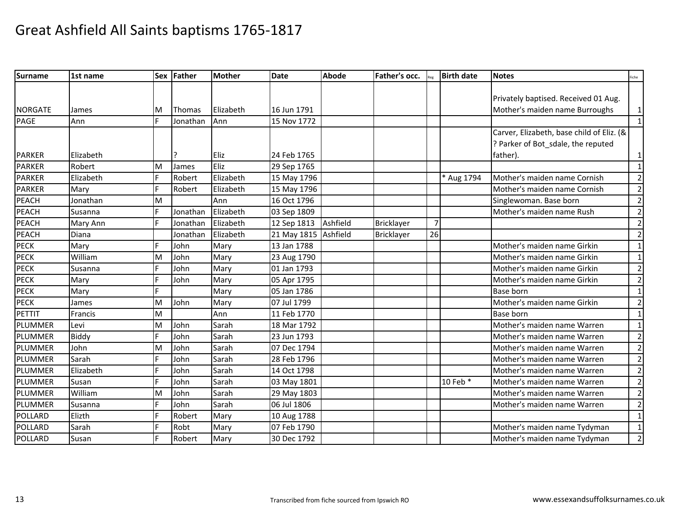| <b>Surname</b> | l1st name      |    | Sex Father    | <b>Mother</b> | <b>Date</b>          | <b>Abode</b> | Father's occ. |    | <b>Birth date</b> | <b>Notes</b>                              | Fiche          |
|----------------|----------------|----|---------------|---------------|----------------------|--------------|---------------|----|-------------------|-------------------------------------------|----------------|
|                |                |    |               |               |                      |              |               |    |                   |                                           |                |
|                |                |    |               |               |                      |              |               |    |                   | Privately baptised. Received 01 Aug.      |                |
| <b>NORGATE</b> | James          | M  | <b>Thomas</b> | Elizabeth     | 16 Jun 1791          |              |               |    |                   | Mother's maiden name Burroughs            | $\vert$ 1      |
| PAGE           | Ann            | F  | Jonathan      | Ann           | 15 Nov 1772          |              |               |    |                   |                                           | $\vert$ 1      |
|                |                |    |               |               |                      |              |               |    |                   | Carver, Elizabeth, base child of Eliz. (& |                |
|                |                |    |               |               |                      |              |               |    |                   | ? Parker of Bot_sdale, the reputed        |                |
| <b>PARKER</b>  | Elizabeth      |    |               | Eliz          | 24 Feb 1765          |              |               |    |                   | father).                                  | $\vert$ 1      |
| <b>PARKER</b>  | Robert         | M  | James         | Eliz          | 29 Sep 1765          |              |               |    |                   |                                           | $\vert$ 1      |
| <b>PARKER</b>  | Elizabeth      | F. | Robert        | Elizabeth     | 15 May 1796          |              |               |    | * Aug 1794        | Mother's maiden name Cornish              | $\overline{2}$ |
| <b>PARKER</b>  | Mary           | F  | Robert        | Elizabeth     | 15 May 1796          |              |               |    |                   | Mother's maiden name Cornish              | $\overline{2}$ |
| <b>PEACH</b>   | Jonathan       | M  |               | Ann           | 16 Oct 1796          |              |               |    |                   | Singlewoman. Base born                    | $\overline{2}$ |
| PEACH          | Susanna        |    | Jonathan      | Elizabeth     | 03 Sep 1809          |              |               |    |                   | Mother's maiden name Rush                 | $\overline{2}$ |
| <b>PEACH</b>   | Mary Ann       | F  | Jonathan      | Elizabeth     | 12 Sep 1813          | Ashfield     | Bricklayer    | 7  |                   |                                           | $\overline{2}$ |
| <b>PEACH</b>   | Diana          |    | Jonathan      | Elizabeth     | 21 May 1815 Ashfield |              | Bricklayer    | 26 |                   |                                           | $\overline{2}$ |
| <b>PECK</b>    | Mary           | F. | John          | Mary          | 13 Jan 1788          |              |               |    |                   | Mother's maiden name Girkin               | 1              |
| <b>PECK</b>    | William        | M  | John          | Mary          | 23 Aug 1790          |              |               |    |                   | Mother's maiden name Girkin               | $\mathbf{1}$   |
| <b>PECK</b>    | Susanna        | F. | John          | Mary          | 01 Jan 1793          |              |               |    |                   | Mother's maiden name Girkin               | $\overline{2}$ |
| <b>PECK</b>    | Mary           |    | John          | Mary          | 05 Apr 1795          |              |               |    |                   | Mother's maiden name Girkin               | $\overline{2}$ |
| <b>PECK</b>    | Mary           |    |               | Mary          | 05 Jan 1786          |              |               |    |                   | <b>Base born</b>                          | $\vert$ 1      |
| <b>PECK</b>    | James          | м  | John          | Mary          | 07 Jul 1799          |              |               |    |                   | Mother's maiden name Girkin               | $\overline{2}$ |
| PETTIT         | <b>Francis</b> | M  |               | Ann           | 11 Feb 1770          |              |               |    |                   | Base born                                 | $\mathbf{1}$   |
| PLUMMER        | Levi           | M  | John          | Sarah         | 18 Mar 1792          |              |               |    |                   | Mother's maiden name Warren               | $\vert$ 1      |
| PLUMMER        | <b>Biddy</b>   |    | John          | Sarah         | 23 Jun 1793          |              |               |    |                   | Mother's maiden name Warren               | $\overline{2}$ |
| PLUMMER        | John           | M  | John          | Sarah         | 07 Dec 1794          |              |               |    |                   | Mother's maiden name Warren               | $\overline{2}$ |
| PLUMMER        | Sarah          |    | John          | Sarah         | 28 Feb 1796          |              |               |    |                   | Mother's maiden name Warren               | $\overline{2}$ |
| PLUMMER        | Elizabeth      | F. | John          | Sarah         | 14 Oct 1798          |              |               |    |                   | Mother's maiden name Warren               | $\overline{2}$ |
| PLUMMER        | Susan          | F  | John          | Sarah         | 03 May 1801          |              |               |    | 10 Feb *          | Mother's maiden name Warren               | $\overline{2}$ |
| PLUMMER        | William        | M  | John          | Sarah         | 29 May 1803          |              |               |    |                   | Mother's maiden name Warren               | $\overline{2}$ |
| PLUMMER        | Susanna        |    | John          | Sarah         | 06 Jul 1806          |              |               |    |                   | Mother's maiden name Warren               | $\overline{2}$ |
| <b>POLLARD</b> | Elizth         |    | Robert        | Mary          | 10 Aug 1788          |              |               |    |                   |                                           | $\vert$ 1      |
| <b>POLLARD</b> | Sarah          |    | Robt          | Mary          | 07 Feb 1790          |              |               |    |                   | Mother's maiden name Tydyman              | $\mathbf{1}$   |
| <b>POLLARD</b> | Susan          |    | Robert        | Mary          | 30 Dec 1792          |              |               |    |                   | Mother's maiden name Tydyman              | $\overline{2}$ |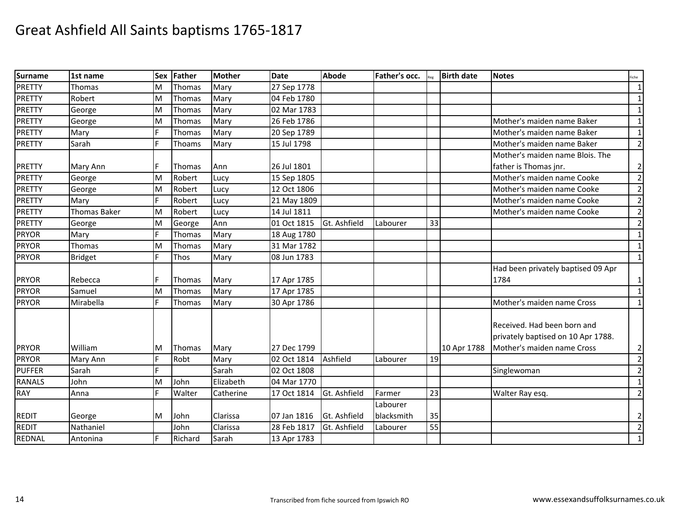| <b>Surname</b> | 1st name            | <b>Sex</b> | Father        | Mother    | <b>Date</b> | <b>Abode</b> | Father's occ. |    | <b>Birth date</b> | <b>Notes</b>                       | iche           |
|----------------|---------------------|------------|---------------|-----------|-------------|--------------|---------------|----|-------------------|------------------------------------|----------------|
| <b>PRETTY</b>  | Thomas              | M          | Thomas        | Mary      | 27 Sep 1778 |              |               |    |                   |                                    | $\mathbf{1}$   |
| <b>PRETTY</b>  | Robert              | M          | Thomas        | Mary      | 04 Feb 1780 |              |               |    |                   |                                    | $\mathbf{1}$   |
| <b>PRETTY</b>  | George              | M          | Thomas        | Mary      | 02 Mar 1783 |              |               |    |                   |                                    | $\mathbf{1}$   |
| <b>PRETTY</b>  | George              | M          | Thomas        | Mary      | 26 Feb 1786 |              |               |    |                   | Mother's maiden name Baker         | $\mathbf{1}$   |
| <b>PRETTY</b>  | Mary                | F          | Thomas        | Mary      | 20 Sep 1789 |              |               |    |                   | Mother's maiden name Baker         | $\mathbf{1}$   |
| <b>PRETTY</b>  | Sarah               | F          | Thoams        | Mary      | 15 Jul 1798 |              |               |    |                   | Mother's maiden name Baker         | $\overline{2}$ |
|                |                     |            |               |           |             |              |               |    |                   | Mother's maiden name Blois. The    |                |
| <b>PRETTY</b>  | Mary Ann            | F          | <b>Thomas</b> | Ann       | 26 Jul 1801 |              |               |    |                   | father is Thomas jnr.              | $\overline{2}$ |
| <b>PRETTY</b>  | George              | M          | Robert        | Lucy      | 15 Sep 1805 |              |               |    |                   | Mother's maiden name Cooke         | $\overline{2}$ |
| <b>PRETTY</b>  | George              | M          | Robert        | Lucy      | 12 Oct 1806 |              |               |    |                   | Mother's maiden name Cooke         | $\overline{2}$ |
| <b>PRETTY</b>  | Mary                |            | Robert        | Lucy      | 21 May 1809 |              |               |    |                   | Mother's maiden name Cooke         | $\overline{2}$ |
| <b>PRETTY</b>  | <b>Thomas Baker</b> | M          | Robert        | Lucy      | 14 Jul 1811 |              |               |    |                   | Mother's maiden name Cooke         | $\overline{2}$ |
| <b>PRETTY</b>  | George              | M          | George        | Ann       | 01 Oct 1815 | Gt. Ashfield | Labourer      | 33 |                   |                                    | $\overline{2}$ |
| <b>PRYOR</b>   | Mary                | F          | Thomas        | Mary      | 18 Aug 1780 |              |               |    |                   |                                    | $\mathbf{1}$   |
| <b>PRYOR</b>   | Thomas              | M          | Thomas        | Mary      | 31 Mar 1782 |              |               |    |                   |                                    | $\mathbf{1}$   |
| <b>PRYOR</b>   | <b>Bridget</b>      | F          | Thos          | Mary      | 08 Jun 1783 |              |               |    |                   |                                    | $\mathbf{1}$   |
|                |                     |            |               |           |             |              |               |    |                   | Had been privately baptised 09 Apr |                |
| <b>PRYOR</b>   | Rebecca             | F          | <b>Thomas</b> | Mary      | 17 Apr 1785 |              |               |    |                   | 1784                               | 1              |
| <b>PRYOR</b>   | Samuel              | M          | Thomas        | Mary      | 17 Apr 1785 |              |               |    |                   |                                    | $\mathbf{1}$   |
| <b>PRYOR</b>   | Mirabella           | F          | Thomas        | Mary      | 30 Apr 1786 |              |               |    |                   | Mother's maiden name Cross         | $\mathbf{1}$   |
|                |                     |            |               |           |             |              |               |    |                   |                                    |                |
|                |                     |            |               |           |             |              |               |    |                   | Received. Had been born and        |                |
|                |                     |            |               |           |             |              |               |    |                   | privately baptised on 10 Apr 1788. |                |
| <b>PRYOR</b>   | William             | ΙM         | <b>Thomas</b> | Mary      | 27 Dec 1799 |              |               |    | 10 Apr 1788       | Mother's maiden name Cross         | $\overline{2}$ |
| <b>PRYOR</b>   | Mary Ann            | F          | Robt          | Mary      | 02 Oct 1814 | Ashfield     | Labourer      | 19 |                   |                                    | $\overline{2}$ |
| <b>PUFFER</b>  | Sarah               | F          |               | Sarah     | 02 Oct 1808 |              |               |    |                   | Singlewoman                        | $\overline{2}$ |
| <b>RANALS</b>  | John                | M          | John          | Elizabeth | 04 Mar 1770 |              |               |    |                   |                                    | $\mathbf{1}$   |
| <b>RAY</b>     | Anna                | F.         | Walter        | Catherine | 17 Oct 1814 | Gt. Ashfield | Farmer        | 23 |                   | Walter Ray esq.                    | $\overline{2}$ |
|                |                     |            |               |           |             |              | Labourer      |    |                   |                                    |                |
| <b>REDIT</b>   | George              | M          | John          | Clarissa  | 07 Jan 1816 | Gt. Ashfield | blacksmith    | 35 |                   |                                    | $\overline{2}$ |
| <b>REDIT</b>   | Nathaniel           |            | John          | Clarissa  | 28 Feb 1817 | Gt. Ashfield | Labourer      | 55 |                   |                                    | $\overline{2}$ |
| REDNAL         | Antonina            | F          | Richard       | Sarah     | 13 Apr 1783 |              |               |    |                   |                                    | $\mathbf{1}$   |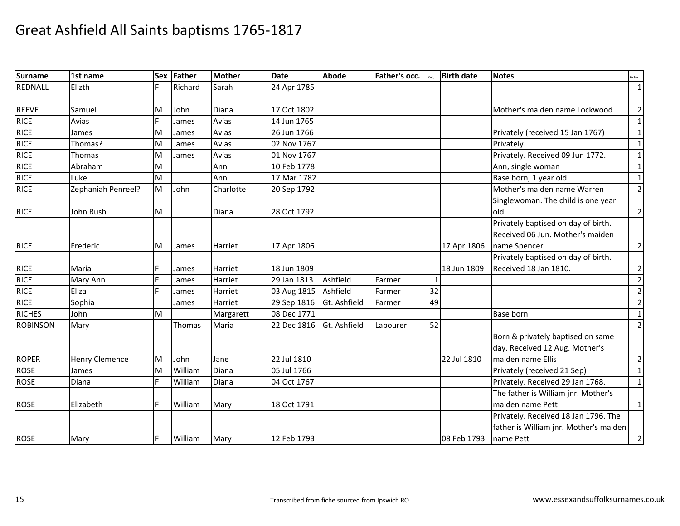| Surname         | 1st name              | <b>Sex</b> | Father        | <b>Mother</b> | <b>Date</b> | <b>Abode</b> | Father's occ. |    | <b>Birth date</b> | <b>Notes</b>                           | Fiche          |
|-----------------|-----------------------|------------|---------------|---------------|-------------|--------------|---------------|----|-------------------|----------------------------------------|----------------|
| REDNALL         | Elizth                |            | Richard       | Sarah         | 24 Apr 1785 |              |               |    |                   |                                        | $\mathbf{1}$   |
|                 |                       |            |               |               |             |              |               |    |                   |                                        |                |
| <b>REEVE</b>    | Samuel                | M          | John          | Diana         | 17 Oct 1802 |              |               |    |                   | Mother's maiden name Lockwood          | $\overline{2}$ |
| <b>RICE</b>     | Avias                 | F.         | James         | Avias         | 14 Jun 1765 |              |               |    |                   |                                        | $\mathbf{1}$   |
| <b>RICE</b>     | James                 | M          | James         | Avias         | 26 Jun 1766 |              |               |    |                   | Privately (received 15 Jan 1767)       | $\mathbf{1}$   |
| <b>RICE</b>     | Thomas?               | M          | James         | Avias         | 02 Nov 1767 |              |               |    |                   | Privately.                             | $\mathbf{1}$   |
| <b>RICE</b>     | Thomas                | M          | James         | Avias         | 01 Nov 1767 |              |               |    |                   | Privately. Received 09 Jun 1772.       | $\mathbf{1}$   |
| <b>RICE</b>     | Abraham               | M          |               | Ann           | 10 Feb 1778 |              |               |    |                   | Ann, single woman                      | $\mathbf 1$    |
| <b>RICE</b>     | Luke                  | M          |               | Ann           | 17 Mar 1782 |              |               |    |                   | Base born, 1 year old.                 | $\mathbf{1}$   |
| <b>RICE</b>     | Zephaniah Penreel?    | M          | John          | Charlotte     | 20 Sep 1792 |              |               |    |                   | Mother's maiden name Warren            | $\overline{2}$ |
|                 |                       |            |               |               |             |              |               |    |                   | Singlewoman. The child is one year     |                |
| <b>RICE</b>     | John Rush             | М          |               | Diana         | 28 Oct 1792 |              |               |    |                   | old.                                   | $\mathbf{2}$   |
|                 |                       |            |               |               |             |              |               |    |                   | Privately baptised on day of birth.    |                |
|                 |                       |            |               |               |             |              |               |    |                   | Received 06 Jun. Mother's maiden       |                |
| <b>RICE</b>     | Frederic              | M          | James         | Harriet       | 17 Apr 1806 |              |               |    | 17 Apr 1806       | name Spencer                           | $\overline{2}$ |
|                 |                       |            |               |               |             |              |               |    |                   | Privately baptised on day of birth.    |                |
| <b>RICE</b>     | Maria                 |            | James         | Harriet       | 18 Jun 1809 |              |               |    | 18 Jun 1809       | Received 18 Jan 1810.                  | $\mathbf{2}$   |
| <b>RICE</b>     | Mary Ann              | F          | James         | Harriet       | 29 Jan 1813 | Ashfield     | Farmer        |    |                   |                                        | $\mathbf{2}$   |
| <b>RICE</b>     | Eliza                 |            | James         | Harriet       | 03 Aug 1815 | Ashfield     | Farmer        | 32 |                   |                                        | $\overline{2}$ |
| <b>RICE</b>     | Sophia                |            | James         | Harriet       | 29 Sep 1816 | Gt. Ashfield | Farmer        | 49 |                   |                                        | $\overline{2}$ |
| <b>RICHES</b>   | John                  | M          |               | Margarett     | 08 Dec 1771 |              |               |    |                   | Base born                              | $\mathbf{1}$   |
| <b>ROBINSON</b> | Mary                  |            | <b>Thomas</b> | Maria         | 22 Dec 1816 | Gt. Ashfield | Labourer      | 52 |                   |                                        | $\overline{2}$ |
|                 |                       |            |               |               |             |              |               |    |                   | Born & privately baptised on same      |                |
|                 |                       |            |               |               |             |              |               |    |                   | day. Received 12 Aug. Mother's         |                |
| <b>ROPER</b>    | <b>Henry Clemence</b> | M          | John          | Jane          | 22 Jul 1810 |              |               |    | 22 Jul 1810       | maiden name Ellis                      | $\overline{2}$ |
| <b>ROSE</b>     | James                 | M          | William       | Diana         | 05 Jul 1766 |              |               |    |                   | Privately (received 21 Sep)            | $\mathbf{1}$   |
| <b>ROSE</b>     | Diana                 |            | William       | Diana         | 04 Oct 1767 |              |               |    |                   | Privately. Received 29 Jan 1768.       | $\mathbf{1}$   |
|                 |                       |            |               |               |             |              |               |    |                   | The father is William jnr. Mother's    |                |
| <b>ROSE</b>     | Elizabeth             | F.         | William       | Mary          | 18 Oct 1791 |              |               |    |                   | maiden name Pett                       | $\mathbf{1}$   |
|                 |                       |            |               |               |             |              |               |    |                   | Privately. Received 18 Jan 1796. The   |                |
|                 |                       |            |               |               |             |              |               |    |                   | father is William jnr. Mother's maiden |                |
| <b>ROSE</b>     | Mary                  | F          | William       | Mary          | 12 Feb 1793 |              |               |    | 08 Feb 1793       | name Pett                              | $\mathbf{2}$   |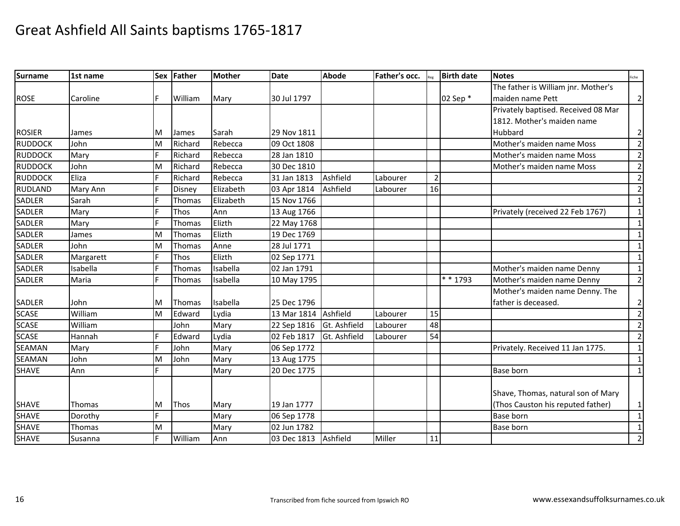| Surname        | 1st name      |   | Sex Father | <b>Mother</b> | <b>Date</b>          | <b>Abode</b> | Father's occ. |                | <b>Birth date</b> | <b>Notes</b>                        | Fiche          |
|----------------|---------------|---|------------|---------------|----------------------|--------------|---------------|----------------|-------------------|-------------------------------------|----------------|
|                |               |   |            |               |                      |              |               |                |                   | The father is William jnr. Mother's |                |
| <b>ROSE</b>    | Caroline      | F | William    | Mary          | 30 Jul 1797          |              |               |                | 02 Sep *          | maiden name Pett                    | $\overline{2}$ |
|                |               |   |            |               |                      |              |               |                |                   | Privately baptised. Received 08 Mar |                |
|                |               |   |            |               |                      |              |               |                |                   | 1812. Mother's maiden name          |                |
| <b>ROSIER</b>  | James         | м | James      | Sarah         | 29 Nov 1811          |              |               |                |                   | Hubbard                             | $\overline{2}$ |
| <b>RUDDOCK</b> | John          | M | Richard    | Rebecca       | 09 Oct 1808          |              |               |                |                   | Mother's maiden name Moss           | $\overline{2}$ |
| <b>RUDDOCK</b> | Mary          |   | Richard    | Rebecca       | 28 Jan 1810          |              |               |                |                   | Mother's maiden name Moss           | $\overline{2}$ |
| <b>RUDDOCK</b> | John          | M | Richard    | Rebecca       | 30 Dec 1810          |              |               |                |                   | Mother's maiden name Moss           | $\overline{2}$ |
| <b>RUDDOCK</b> | Eliza         |   | Richard    | Rebecca       | 31 Jan 1813          | Ashfield     | Labourer      | $\overline{2}$ |                   |                                     | $\overline{2}$ |
| <b>RUDLAND</b> | Mary Ann      |   | Disney     | Elizabeth     | 03 Apr 1814          | Ashfield     | Labourer      | 16             |                   |                                     | 2              |
| <b>SADLER</b>  | Sarah         |   | Thomas     | Elizabeth     | 15 Nov 1766          |              |               |                |                   |                                     | $\mathbf{1}$   |
| <b>SADLER</b>  | Mary          |   | Thos       | Ann           | 13 Aug 1766          |              |               |                |                   | Privately (received 22 Feb 1767)    | $\mathbf{1}$   |
| <b>SADLER</b>  | Mary          | E | Thomas     | Elizth        | 22 May 1768          |              |               |                |                   |                                     | 1              |
| <b>SADLER</b>  | James         | M | Thomas     | Elizth        | 19 Dec 1769          |              |               |                |                   |                                     | $\mathbf{1}$   |
| <b>SADLER</b>  | John          | M | Thomas     | Anne          | 28 Jul 1771          |              |               |                |                   |                                     | $\mathbf{1}$   |
| <b>SADLER</b>  | Margarett     |   | Thos       | Elizth        | 02 Sep 1771          |              |               |                |                   |                                     | $\mathbf{1}$   |
| <b>SADLER</b>  | Isabella      | Е | Thomas     | Isabella      | 02 Jan 1791          |              |               |                |                   | Mother's maiden name Denny          | $\mathbf{1}$   |
| <b>SADLER</b>  | Maria         | F | Thomas     | Isabella      | 10 May 1795          |              |               |                | * * 1793          | Mother's maiden name Denny          | $\overline{2}$ |
|                |               |   |            |               |                      |              |               |                |                   | Mother's maiden name Denny. The     |                |
| <b>SADLER</b>  | John          | M | Thomas     | Isabella      | 25 Dec 1796          |              |               |                |                   | father is deceased.                 | $\overline{2}$ |
| <b>SCASE</b>   | William       | M | Edward     | Lydia         | 13 Mar 1814          | Ashfield     | Labourer      | 15             |                   |                                     | $\overline{2}$ |
| <b>SCASE</b>   | William       |   | John       | Mary          | 22 Sep 1816          | Gt. Ashfield | Labourer      | 48             |                   |                                     | $\overline{2}$ |
| <b>SCASE</b>   | Hannah        | F | Edward     | Lydia         | 02 Feb 1817          | Gt. Ashfield | Labourer      | 54             |                   |                                     | $\overline{2}$ |
| <b>SEAMAN</b>  | Mary          |   | John       | Mary          | 06 Sep 1772          |              |               |                |                   | Privately. Received 11 Jan 1775.    | $\mathbf{1}$   |
| <b>SEAMAN</b>  | John          | M | John       | Mary          | 13 Aug 1775          |              |               |                |                   |                                     | $\mathbf{1}$   |
| <b>SHAVE</b>   | Ann           |   |            | Mary          | 20 Dec 1775          |              |               |                |                   | <b>Base born</b>                    | $\mathbf{1}$   |
|                |               |   |            |               |                      |              |               |                |                   |                                     |                |
|                |               |   |            |               |                      |              |               |                |                   | Shave, Thomas, natural son of Mary  |                |
| <b>SHAVE</b>   | <b>Thomas</b> | м | Thos       | Mary          | 19 Jan 1777          |              |               |                |                   | (Thos Causton his reputed father)   | 1              |
| <b>SHAVE</b>   | Dorothy       |   |            | Mary          | 06 Sep 1778          |              |               |                |                   | <b>Base born</b>                    | $\mathbf{1}$   |
| <b>SHAVE</b>   | Thomas        | M |            | Mary          | 02 Jun 1782          |              |               |                |                   | <b>Base born</b>                    | 1              |
| <b>SHAVE</b>   | Susanna       | E | William    | Ann           | 03 Dec 1813 Ashfield |              | Miller        | 11             |                   |                                     | $\overline{2}$ |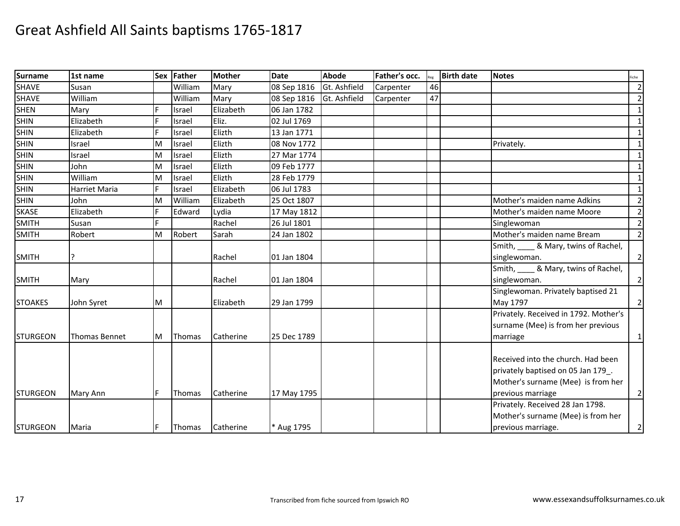| <b>Surname</b>  | 1st name             |   | Sex Father    | <b>Mother</b> | <b>Date</b> | <b>Abode</b> | Father's occ. |    | <b>Birth date</b> | <b>Notes</b>                          | Fiche          |
|-----------------|----------------------|---|---------------|---------------|-------------|--------------|---------------|----|-------------------|---------------------------------------|----------------|
| <b>SHAVE</b>    | Susan                |   | William       | Mary          | 08 Sep 1816 | Gt. Ashfield | Carpenter     | 46 |                   |                                       | $\overline{2}$ |
| <b>SHAVE</b>    | William              |   | William       | Mary          | 08 Sep 1816 | Gt. Ashfield | Carpenter     | 47 |                   |                                       | $\mathbf{2}$   |
| <b>SHEN</b>     | Mary                 |   | Israel        | Elizabeth     | 06 Jan 1782 |              |               |    |                   |                                       | $\mathbf{1}$   |
| <b>SHIN</b>     | Elizabeth            |   | Israel        | Eliz.         | 02 Jul 1769 |              |               |    |                   |                                       | $\mathbf{1}$   |
| <b>SHIN</b>     | Elizabeth            |   | Israel        | Elizth        | 13 Jan 1771 |              |               |    |                   |                                       | $\mathbf 1$    |
| <b>SHIN</b>     | Israel               | M | Israel        | Elizth        | 08 Nov 1772 |              |               |    |                   | Privately.                            | $\mathbf{1}$   |
| <b>SHIN</b>     | Israel               | M | Israel        | Elizth        | 27 Mar 1774 |              |               |    |                   |                                       | $\mathbf{1}$   |
| <b>SHIN</b>     | John                 | M | Israel        | Elizth        | 09 Feb 1777 |              |               |    |                   |                                       | $\mathbf{1}$   |
| <b>SHIN</b>     | William              | M | Israel        | Elizth        | 28 Feb 1779 |              |               |    |                   |                                       | $\mathbf{1}$   |
| <b>SHIN</b>     | Harriet Maria        | E | Israel        | Elizabeth     | 06 Jul 1783 |              |               |    |                   |                                       | $\mathbf{1}$   |
| <b>SHIN</b>     | John                 | M | William       | Elizabeth     | 25 Oct 1807 |              |               |    |                   | Mother's maiden name Adkins           | $\overline{2}$ |
| <b>SKASE</b>    | Elizabeth            |   | Edward        | Lydia         | 17 May 1812 |              |               |    |                   | Mother's maiden name Moore            | $\overline{2}$ |
| <b>SMITH</b>    | Susan                |   |               | Rachel        | 26 Jul 1801 |              |               |    |                   | Singlewoman                           | $\overline{2}$ |
| <b>SMITH</b>    | Robert               | M | Robert        | Sarah         | 24 Jan 1802 |              |               |    |                   | Mother's maiden name Bream            | $\overline{2}$ |
|                 |                      |   |               |               |             |              |               |    |                   | Smith, & Mary, twins of Rachel,       |                |
| <b>SMITH</b>    |                      |   |               | Rachel        | 01 Jan 1804 |              |               |    |                   | singlewoman.                          | $\overline{2}$ |
|                 |                      |   |               |               |             |              |               |    |                   | Smith, _____ & Mary, twins of Rachel, |                |
| <b>SMITH</b>    | Mary                 |   |               | Rachel        | 01 Jan 1804 |              |               |    |                   | singlewoman.                          | $\overline{2}$ |
|                 |                      |   |               |               |             |              |               |    |                   | Singlewoman. Privately baptised 21    |                |
| <b>STOAKES</b>  | John Syret           | M |               | Elizabeth     | 29 Jan 1799 |              |               |    |                   | May 1797                              | $\overline{2}$ |
|                 |                      |   |               |               |             |              |               |    |                   | Privately. Received in 1792. Mother's |                |
|                 |                      |   |               |               |             |              |               |    |                   | surname (Mee) is from her previous    |                |
| <b>STURGEON</b> | <b>Thomas Bennet</b> | M | <b>Thomas</b> | Catherine     | 25 Dec 1789 |              |               |    |                   | marriage                              | $\mathbf{1}$   |
|                 |                      |   |               |               |             |              |               |    |                   |                                       |                |
|                 |                      |   |               |               |             |              |               |    |                   | Received into the church. Had been    |                |
|                 |                      |   |               |               |             |              |               |    |                   | privately baptised on 05 Jan 179_.    |                |
|                 |                      |   |               |               |             |              |               |    |                   | Mother's surname (Mee) is from her    |                |
| <b>STURGEON</b> | Mary Ann             | F | Thomas        | Catherine     | 17 May 1795 |              |               |    |                   | previous marriage                     | $\overline{2}$ |
|                 |                      |   |               |               |             |              |               |    |                   | Privately. Received 28 Jan 1798.      |                |
|                 |                      |   |               |               |             |              |               |    |                   | Mother's surname (Mee) is from her    |                |
| <b>STURGEON</b> | Maria                | F | Thomas        | Catherine     | * Aug 1795  |              |               |    |                   | previous marriage.                    | $\mathbf{2}$   |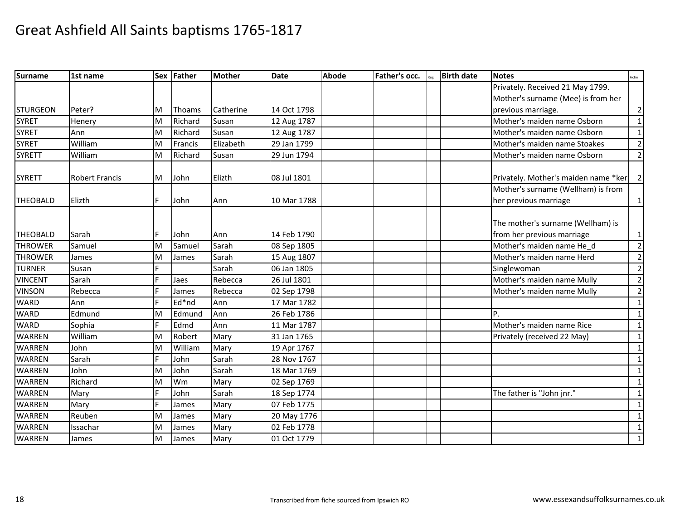| <b>Surname</b>  | 1st name              |   | Sex Father    | Mother    | <b>Date</b> | Abode | Father's occ. | <b>Birth date</b> | <b>Notes</b>                         | Fiche          |
|-----------------|-----------------------|---|---------------|-----------|-------------|-------|---------------|-------------------|--------------------------------------|----------------|
|                 |                       |   |               |           |             |       |               |                   | Privately. Received 21 May 1799.     |                |
|                 |                       |   |               |           |             |       |               |                   | Mother's surname (Mee) is from her   |                |
| <b>STURGEON</b> | Peter?                | M | <b>Thoams</b> | Catherine | 14 Oct 1798 |       |               |                   | previous marriage.                   | $\overline{2}$ |
| <b>SYRET</b>    | Henery                | M | Richard       | Susan     | 12 Aug 1787 |       |               |                   | Mother's maiden name Osborn          | $\mathbf{1}$   |
| <b>SYRET</b>    | Ann                   | M | Richard       | Susan     | 12 Aug 1787 |       |               |                   | Mother's maiden name Osborn          | $\mathbf{1}$   |
| <b>SYRET</b>    | William               | M | Francis       | Elizabeth | 29 Jan 1799 |       |               |                   | Mother's maiden name Stoakes         | $\overline{2}$ |
| <b>SYRETT</b>   | William               | M | Richard       | Susan     | 29 Jun 1794 |       |               |                   | Mother's maiden name Osborn          | $\overline{2}$ |
| <b>SYRETT</b>   | <b>Robert Francis</b> | M | John          | Elizth    | 08 Jul 1801 |       |               |                   | Privately. Mother's maiden name *ker | $\overline{2}$ |
|                 |                       |   |               |           |             |       |               |                   | Mother's surname (Wellham) is from   |                |
| <b>THEOBALD</b> | Elizth                | F | John          | Ann       | 10 Mar 1788 |       |               |                   | her previous marriage                | $\mathbf{1}$   |
|                 |                       |   |               |           |             |       |               |                   | The mother's surname (Wellham) is    |                |
| <b>THEOBALD</b> | Sarah                 | F | John          | Ann       | 14 Feb 1790 |       |               |                   | from her previous marriage           | $\mathbf{1}$   |
| <b>THROWER</b>  | Samuel                | M | Samuel        | Sarah     | 08 Sep 1805 |       |               |                   | Mother's maiden name He d            | $\overline{2}$ |
| <b>THROWER</b>  | James                 | M | James         | Sarah     | 15 Aug 1807 |       |               |                   | Mother's maiden name Herd            | $\overline{2}$ |
| <b>TURNER</b>   | Susan                 |   |               | Sarah     | 06 Jan 1805 |       |               |                   | Singlewoman                          | $\overline{2}$ |
| <b>VINCENT</b>  | Sarah                 |   | Jaes          | Rebecca   | 26 Jul 1801 |       |               |                   | Mother's maiden name Mully           | $\overline{2}$ |
| <b>VINSON</b>   | Rebecca               |   | James         | Rebecca   | 02 Sep 1798 |       |               |                   | Mother's maiden name Mully           | $\overline{2}$ |
| <b>WARD</b>     | Ann                   |   | Ed*nd         | Ann       | 17 Mar 1782 |       |               |                   |                                      | $\mathbf{1}$   |
| <b>WARD</b>     | Edmund                | M | Edmund        | Ann       | 26 Feb 1786 |       |               |                   | P.                                   | 1              |
| <b>WARD</b>     | Sophia                | F | Edmd          | Ann       | 11 Mar 1787 |       |               |                   | Mother's maiden name Rice            | $\mathbf{1}$   |
| <b>WARREN</b>   | William               | M | Robert        | Mary      | 31 Jan 1765 |       |               |                   | Privately (received 22 May)          | 1              |
| <b>WARREN</b>   | John                  | M | William       | Mary      | 19 Apr 1767 |       |               |                   |                                      | 1              |
| <b>WARREN</b>   | Sarah                 |   | John          | Sarah     | 28 Nov 1767 |       |               |                   |                                      | $\mathbf{1}$   |
| <b>WARREN</b>   | John                  | M | John          | Sarah     | 18 Mar 1769 |       |               |                   |                                      | $\mathbf{1}$   |
| <b>WARREN</b>   | Richard               | M | Wm            | Mary      | 02 Sep 1769 |       |               |                   |                                      | $\mathbf{1}$   |
| <b>WARREN</b>   | Mary                  | F | John          | Sarah     | 18 Sep 1774 |       |               |                   | The father is "John jnr."            | $\mathbf{1}$   |
| <b>WARREN</b>   | Mary                  |   | James         | Mary      | 07 Feb 1775 |       |               |                   |                                      | $\mathbf{1}$   |
| <b>WARREN</b>   | Reuben                | M | James         | Mary      | 20 May 1776 |       |               |                   |                                      | $\mathbf{1}$   |
| <b>WARREN</b>   | Issachar              | M | James         | Mary      | 02 Feb 1778 |       |               |                   |                                      | 1              |
| <b>WARREN</b>   | James                 | M | James         | Mary      | 01 Oct 1779 |       |               |                   |                                      | $\mathbf{1}$   |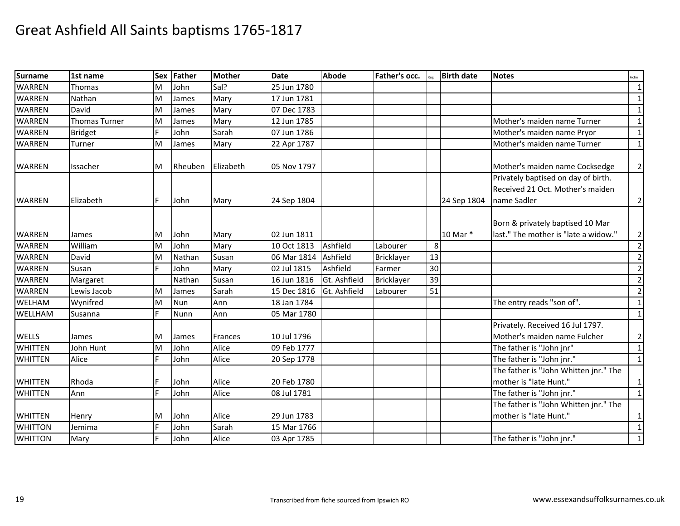| <b>Surname</b> | 1st name             | <b>Sex</b> | Father     | <b>Mother</b> | <b>Date</b> | <b>Abode</b> | Father's occ. |    | <b>Birth date</b> | <b>Notes</b>                                                     | Fiche          |
|----------------|----------------------|------------|------------|---------------|-------------|--------------|---------------|----|-------------------|------------------------------------------------------------------|----------------|
| <b>WARREN</b>  | <b>Thomas</b>        | M          | John       | Sal?          | 25 Jun 1780 |              |               |    |                   |                                                                  | $\mathbf{1}$   |
| <b>WARREN</b>  | Nathan               | м          | James      | Mary          | 17 Jun 1781 |              |               |    |                   |                                                                  | $\mathbf{1}$   |
| <b>WARREN</b>  | David                | M          | James      | Mary          | 07 Dec 1783 |              |               |    |                   |                                                                  | $\mathbf{1}$   |
| <b>WARREN</b>  | <b>Thomas Turner</b> | M          | James      | Mary          | 12 Jun 1785 |              |               |    |                   | Mother's maiden name Turner                                      | $\mathbf{1}$   |
| <b>WARREN</b>  | <b>Bridget</b>       | Ė          | John       | Sarah         | 07 Jun 1786 |              |               |    |                   | Mother's maiden name Pryor                                       | $\mathbf{1}$   |
| <b>WARREN</b>  | Turner               | M          | James      | Mary          | 22 Apr 1787 |              |               |    |                   | Mother's maiden name Turner                                      | $\mathbf{1}$   |
| <b>WARREN</b>  | Issacher             | M          | Rheuben    | Elizabeth     | 05 Nov 1797 |              |               |    |                   | Mother's maiden name Cocksedge                                   | $\overline{2}$ |
|                |                      |            |            |               |             |              |               |    |                   | Privately baptised on day of birth.                              |                |
|                |                      |            |            |               |             |              |               |    |                   | Received 21 Oct. Mother's maiden                                 |                |
| <b>WARREN</b>  | Elizabeth            | F          | John       | Mary          | 24 Sep 1804 |              |               |    | 24 Sep 1804       | name Sadler                                                      | $\overline{2}$ |
|                |                      |            |            |               |             |              |               |    |                   | Born & privately baptised 10 Mar                                 |                |
| <b>WARREN</b>  | James                | M          | John       | Mary          | 02 Jun 1811 |              |               |    | 10 Mar *          | last." The mother is "late a widow."                             | $\overline{2}$ |
| <b>WARREN</b>  | William              | M          | John       | Mary          | 10 Oct 1813 | Ashfield     | Labourer      | 8  |                   |                                                                  | $\overline{2}$ |
| <b>WARREN</b>  | David                | M          | Nathan     | Susan         | 06 Mar 1814 | Ashfield     | Bricklayer    | 13 |                   |                                                                  | $\overline{2}$ |
| <b>WARREN</b>  | Susan                | Ė          | John       | Mary          | 02 Jul 1815 | Ashfield     | Farmer        | 30 |                   |                                                                  | $\overline{2}$ |
| <b>WARREN</b>  | Margaret             |            | Nathan     | Susan         | 16 Jun 1816 | Gt. Ashfield | Bricklayer    | 39 |                   |                                                                  | $\mathbf{2}$   |
| <b>WARREN</b>  | Lewis Jacob          | м          | James      | Sarah         | 15 Dec 1816 | Gt. Ashfield | Labourer      | 51 |                   |                                                                  | $\overline{2}$ |
| <b>WELHAM</b>  | Wynifred             | M          | <b>Nun</b> | Ann           | 18 Jan 1784 |              |               |    |                   | The entry reads "son of".                                        | $\mathbf{1}$   |
| <b>WELLHAM</b> | Susanna              | F.         | Nunn       | Ann           | 05 Mar 1780 |              |               |    |                   |                                                                  | $\mathbf{1}$   |
| <b>WELLS</b>   | James                | M          | James      | Frances       | 10 Jul 1796 |              |               |    |                   | Privately. Received 16 Jul 1797.<br>Mother's maiden name Fulcher | $\overline{2}$ |
| <b>WHITTEN</b> | John Hunt            | M          | John       | Alice         | 09 Feb 1777 |              |               |    |                   | The father is "John jnr"                                         | $\mathbf 1$    |
| <b>WHITTEN</b> | Alice                | F.         | John       | Alice         | 20 Sep 1778 |              |               |    |                   | The father is "John jnr."                                        | $\mathbf{1}$   |
| <b>WHITTEN</b> | Rhoda                |            | John       | Alice         | 20 Feb 1780 |              |               |    |                   | The father is "John Whitten jnr." The<br>mother is "late Hunt."  | $\mathbf{1}$   |
| <b>WHITTEN</b> | Ann                  | F          | John       | Alice         | 08 Jul 1781 |              |               |    |                   | The father is "John jnr."                                        | $\mathbf{1}$   |
| <b>WHITTEN</b> | Henry                | M          | John       | Alice         | 29 Jun 1783 |              |               |    |                   | The father is "John Whitten jnr." The<br>mother is "late Hunt."  | $\mathbf{1}$   |
| <b>WHITTON</b> | Jemima               |            | John       | Sarah         | 15 Mar 1766 |              |               |    |                   |                                                                  | $\mathbf{1}$   |
| <b>WHITTON</b> | Mary                 |            | John       | Alice         | 03 Apr 1785 |              |               |    |                   | The father is "John jnr."                                        | $\mathbf{1}$   |